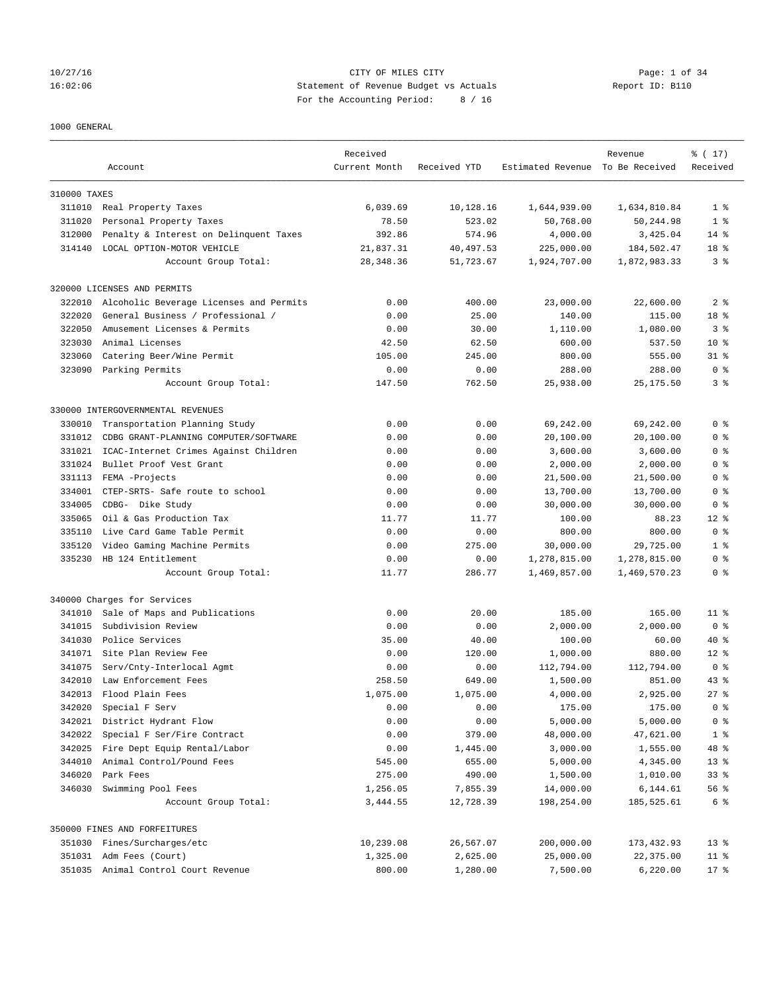## 10/27/16 CITY OF MILES CITY Page: 1 of 34 16:02:06 Statement of Revenue Budget vs Actuals Report ID: B110 For the Accounting Period: 8 / 16

## 1000 GENERAL

|              | Account                                 | Received<br>Current Month | Received YTD | Estimated Revenue To Be Received | Revenue      | % (17)<br>Received |
|--------------|-----------------------------------------|---------------------------|--------------|----------------------------------|--------------|--------------------|
| 310000 TAXES |                                         |                           |              |                                  |              |                    |
|              | 311010 Real Property Taxes              | 6,039.69                  | 10,128.16    | 1,644,939.00                     | 1,634,810.84 | 1 <sup>8</sup>     |
| 311020       | Personal Property Taxes                 | 78.50                     | 523.02       | 50,768.00                        | 50,244.98    | 1 <sup>8</sup>     |
| 312000       | Penalty & Interest on Delinquent Taxes  | 392.86                    | 574.96       | 4,000.00                         | 3,425.04     | $14*$              |
| 314140       | LOCAL OPTION-MOTOR VEHICLE              | 21,837.31                 | 40,497.53    | 225,000.00                       | 184,502.47   | 18 %               |
|              | Account Group Total:                    | 28, 348.36                | 51,723.67    | 1,924,707.00                     | 1,872,983.33 | 3 <sup>8</sup>     |
|              | 320000 LICENSES AND PERMITS             |                           |              |                                  |              |                    |
| 322010       | Alcoholic Beverage Licenses and Permits | 0.00                      | 400.00       | 23,000.00                        | 22,600.00    | 2 <sub>8</sub>     |
| 322020       | General Business / Professional /       | 0.00                      | 25.00        | 140.00                           | 115.00       | 18 %               |
| 322050       | Amusement Licenses & Permits            | 0.00                      | 30.00        | 1,110.00                         | 1,080.00     | 3 <sup>8</sup>     |
| 323030       | Animal Licenses                         | 42.50                     | 62.50        | 600.00                           | 537.50       | $10*$              |
| 323060       | Catering Beer/Wine Permit               | 105.00                    | 245.00       | 800.00                           | 555.00       | $31$ $%$           |
| 323090       | Parking Permits                         | 0.00                      | 0.00         | 288.00                           | 288.00       | 0 <sup>8</sup>     |
|              | Account Group Total:                    | 147.50                    | 762.50       | 25,938.00                        | 25, 175.50   | 3 <sup>8</sup>     |
|              | 330000 INTERGOVERNMENTAL REVENUES       |                           |              |                                  |              |                    |
| 330010       | Transportation Planning Study           | 0.00                      | 0.00         | 69,242.00                        | 69,242.00    | 0 <sup>8</sup>     |
| 331012       | CDBG GRANT-PLANNING COMPUTER/SOFTWARE   | 0.00                      | 0.00         | 20,100.00                        | 20,100.00    | 0 <sup>8</sup>     |
| 331021       | ICAC-Internet Crimes Against Children   | 0.00                      | 0.00         | 3,600.00                         | 3,600.00     | 0 <sup>8</sup>     |
| 331024       | Bullet Proof Vest Grant                 | 0.00                      | 0.00         | 2,000.00                         | 2,000.00     | 0 <sup>8</sup>     |
| 331113       | FEMA -Projects                          | 0.00                      | 0.00         | 21,500.00                        | 21,500.00    | 0 <sup>8</sup>     |
| 334001       | CTEP-SRTS- Safe route to school         | 0.00                      | 0.00         | 13,700.00                        | 13,700.00    | 0 <sup>8</sup>     |
| 334005       | CDBG- Dike Study                        | 0.00                      | 0.00         | 30,000.00                        | 30,000.00    | 0 <sup>8</sup>     |
| 335065       | Oil & Gas Production Tax                | 11.77                     | 11.77        | 100.00                           | 88.23        | $12*$              |
| 335110       | Live Card Game Table Permit             | 0.00                      | 0.00         | 800.00                           | 800.00       | 0 <sup>8</sup>     |
| 335120       | Video Gaming Machine Permits            | 0.00                      | 275.00       | 30,000.00                        | 29,725.00    | 1 <sup>8</sup>     |
| 335230       | HB 124 Entitlement                      | 0.00                      | 0.00         | 1,278,815.00                     | 1,278,815.00 | 0 <sup>8</sup>     |
|              | Account Group Total:                    | 11.77                     | 286.77       | 1,469,857.00                     | 1,469,570.23 | 0 <sup>8</sup>     |
|              | 340000 Charges for Services             |                           |              |                                  |              |                    |
| 341010       | Sale of Maps and Publications           | 0.00                      | 20.00        | 185.00                           | 165.00       | 11 <sup>8</sup>    |
| 341015       | Subdivision Review                      | 0.00                      | 0.00         | 2,000.00                         | 2,000.00     | 0 <sup>8</sup>     |
| 341030       | Police Services                         | 35.00                     | 40.00        | 100.00                           | 60.00        | 40 %               |
|              | 341071 Site Plan Review Fee             | 0.00                      | 120.00       | 1,000.00                         | 880.00       | $12*$              |
| 341075       | Serv/Cnty-Interlocal Agmt               | 0.00                      | 0.00         | 112,794.00                       | 112,794.00   | 0 <sup>8</sup>     |
| 342010       | Law Enforcement Fees                    | 258.50                    | 649.00       | 1,500.00                         | 851.00       | $43$ %             |
| 342013       | Flood Plain Fees                        | 1,075.00                  | 1,075.00     | 4,000.00                         | 2,925.00     | $27$ $%$           |
| 342020       | Special F Serv                          | 0.00                      | 0.00         | 175.00                           | 175.00       | 0 <sup>8</sup>     |
| 342021       | District Hydrant Flow                   | 0.00                      | 0.00         | 5,000.00                         | 5,000.00     | 0 <sup>8</sup>     |
| 342022       | Special F Ser/Fire Contract             | 0.00                      | 379.00       | 48,000.00                        | 47,621.00    | 1 <sup>°</sup>     |
| 342025       | Fire Dept Equip Rental/Labor            | 0.00                      | 1,445.00     | 3,000.00                         | 1,555.00     | 48 %               |
| 344010       | Animal Control/Pound Fees               | 545.00                    | 655.00       | 5,000.00                         | 4,345.00     | $13*$              |
| 346020       | Park Fees                               | 275.00                    | 490.00       | 1,500.00                         | 1,010.00     | 33 <sup>8</sup>    |
| 346030       | Swimming Pool Fees                      | 1,256.05                  | 7,855.39     | 14,000.00                        | 6,144.61     | 56 %               |
|              | Account Group Total:                    | 3,444.55                  | 12,728.39    | 198,254.00                       | 185,525.61   | 6 %                |
|              | 350000 FINES AND FORFEITURES            |                           |              |                                  |              |                    |
|              | 351030 Fines/Surcharges/etc             | 10,239.08                 | 26,567.07    | 200,000.00                       | 173,432.93   | $13*$              |
|              | 351031 Adm Fees (Court)                 | 1,325.00                  | 2,625.00     | 25,000.00                        | 22,375.00    | $11$ %             |
|              | 351035 Animal Control Court Revenue     | 800.00                    | 1,280.00     | 7,500.00                         | 6,220.00     | $17*$              |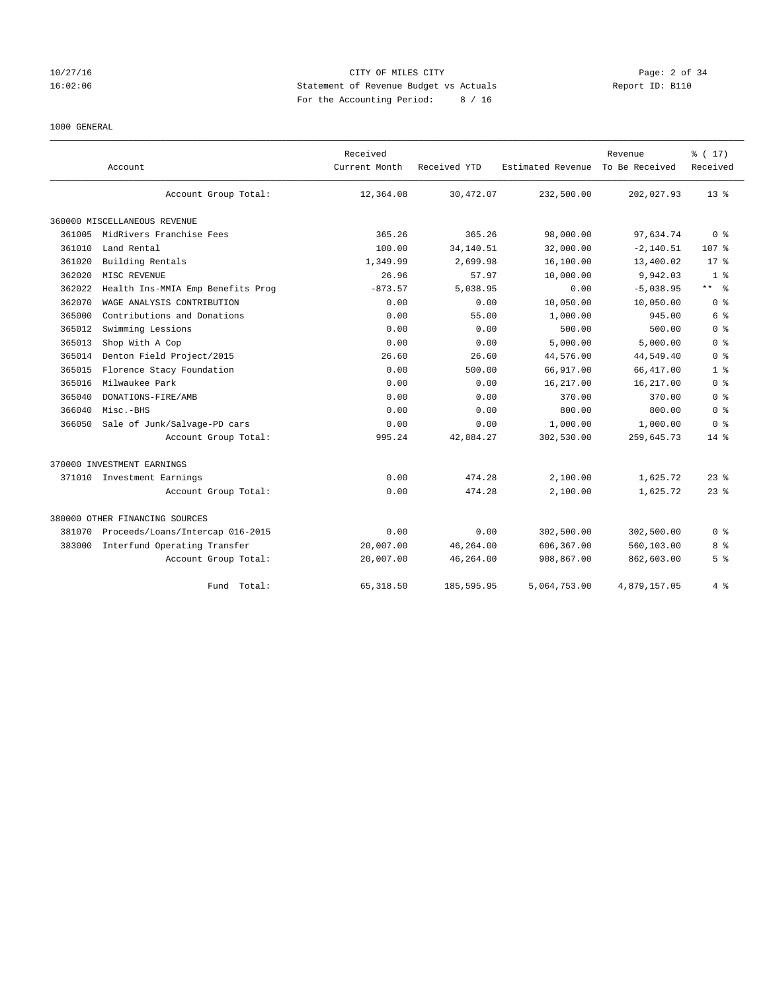## 10/27/16 CITY OF MILES CITY Page: 2 of 34 16:02:06 Statement of Revenue Budget vs Actuals Report ID: B110 For the Accounting Period: 8 / 16

# 1000 GENERAL

|        |                                   | Received      |              |                   | Revenue        | % (17)         |
|--------|-----------------------------------|---------------|--------------|-------------------|----------------|----------------|
|        | Account                           | Current Month | Received YTD | Estimated Revenue | To Be Received | Received       |
|        | Account Group Total:              | 12,364.08     | 30,472.07    | 232,500.00        | 202,027.93     | $13*$          |
|        | 360000 MISCELLANEOUS REVENUE      |               |              |                   |                |                |
| 361005 | MidRivers Franchise Fees          | 365.26        | 365.26       | 98,000.00         | 97,634.74      | 0 <sup>8</sup> |
| 361010 | Land Rental                       | 100.00        | 34,140.51    | 32,000.00         | $-2, 140.51$   | 107 %          |
| 361020 | Building Rentals                  | 1,349.99      | 2,699.98     | 16,100.00         | 13,400.02      | $17*$          |
| 362020 | MISC REVENUE                      | 26.96         | 57.97        | 10,000.00         | 9,942.03       | 1 <sup>8</sup> |
| 362022 | Health Ins-MMIA Emp Benefits Prog | $-873.57$     | 5,038.95     | 0.00              | $-5,038.95$    | ** *           |
| 362070 | WAGE ANALYSIS CONTRIBUTION        | 0.00          | 0.00         | 10,050.00         | 10,050.00      | 0 <sup>8</sup> |
| 365000 | Contributions and Donations       | 0.00          | 55.00        | 1,000.00          | 945.00         | 6 %            |
| 365012 | Swimming Lessions                 | 0.00          | 0.00         | 500.00            | 500.00         | 0 <sup>8</sup> |
| 365013 | Shop With A Cop                   | 0.00          | 0.00         | 5,000.00          | 5,000.00       | 0 <sup>8</sup> |
| 365014 | Denton Field Project/2015         | 26.60         | 26.60        | 44,576.00         | 44,549.40      | 0 <sup>8</sup> |
| 365015 | Florence Stacy Foundation         | 0.00          | 500.00       | 66,917.00         | 66, 417.00     | 1 <sup>8</sup> |
| 365016 | Milwaukee Park                    | 0.00          | 0.00         | 16,217.00         | 16,217.00      | 0 <sup>8</sup> |
| 365040 | DONATIONS-FIRE/AMB                | 0.00          | 0.00         | 370.00            | 370.00         | 0 <sup>8</sup> |
| 366040 | Misc.-BHS                         | 0.00          | 0.00         | 800.00            | 800.00         | 0 <sup>8</sup> |
| 366050 | Sale of Junk/Salvage-PD cars      | 0.00          | 0.00         | 1,000.00          | 1,000.00       | 0 <sup>8</sup> |
|        | Account Group Total:              | 995.24        | 42,884.27    | 302,530.00        | 259,645.73     | $14*$          |
|        | 370000 INVESTMENT EARNINGS        |               |              |                   |                |                |
|        | 371010 Investment Earnings        | 0.00          | 474.28       | 2,100.00          | 1,625.72       | $23$ $%$       |
|        | Account Group Total:              | 0.00          | 474.28       | 2,100.00          | 1,625.72       | $23$ $%$       |
|        | 380000 OTHER FINANCING SOURCES    |               |              |                   |                |                |
| 381070 | Proceeds/Loans/Intercap 016-2015  | 0.00          | 0.00         | 302,500.00        | 302,500.00     | 0 <sup>8</sup> |
| 383000 | Interfund Operating Transfer      | 20,007.00     | 46,264.00    | 606,367.00        | 560,103.00     | 8 %            |
|        | Account Group Total:              | 20,007.00     | 46,264.00    | 908,867.00        | 862,603.00     | 5 <sup>°</sup> |
|        | Fund Total:                       | 65, 318.50    | 185,595.95   | 5,064,753.00      | 4.879.157.05   | 4%             |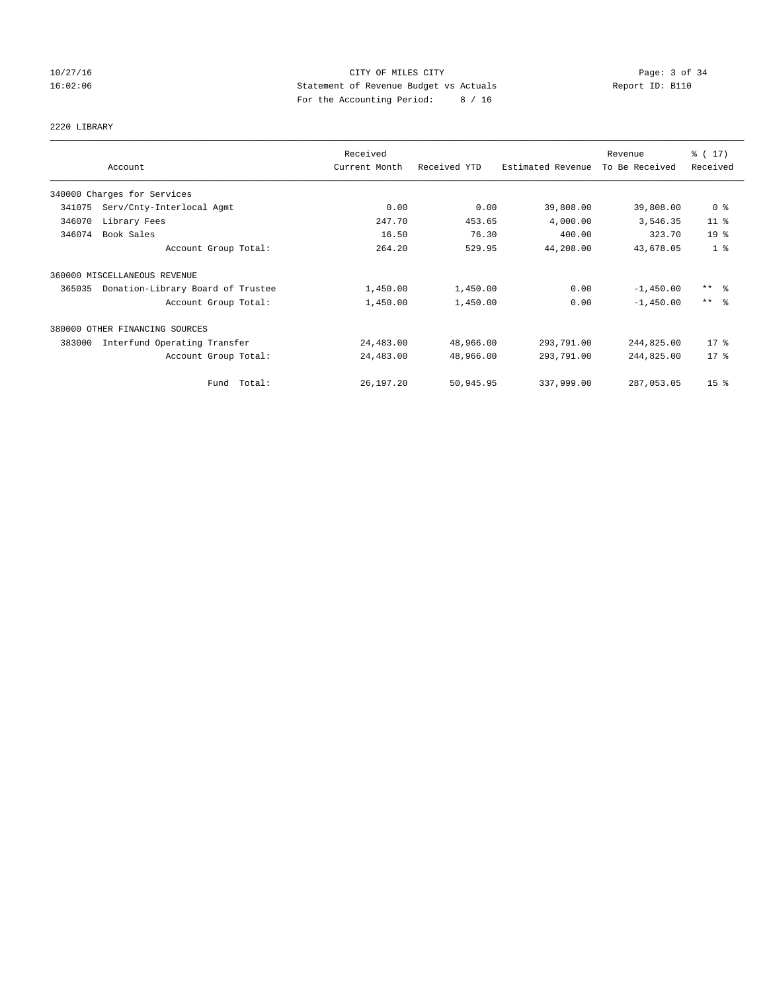## 10/27/16 CITY OF MILES CITY Page: 3 of 34 16:02:06 Statement of Revenue Budget vs Actuals Report ID: B110 For the Accounting Period: 8 / 16

# 2220 LIBRARY

|        |                                   | Received      |              |                   | Revenue        | % (17)                  |
|--------|-----------------------------------|---------------|--------------|-------------------|----------------|-------------------------|
|        | Account                           | Current Month | Received YTD | Estimated Revenue | To Be Received | Received                |
|        | 340000 Charges for Services       |               |              |                   |                |                         |
| 341075 | Serv/Cnty-Interlocal Agmt         | 0.00          | 0.00         | 39,808.00         | 39,808.00      | 0 <sup>8</sup>          |
| 346070 | Library Fees                      | 247.70        | 453.65       | 4,000.00          | 3,546.35       | $11$ %                  |
| 346074 | Book Sales                        | 16.50         | 76.30        | 400.00            | 323.70         | 19 <sup>°</sup>         |
|        | Account Group Total:              | 264.20        | 529.95       | 44,208.00         | 43,678.05      | 1 <sup>8</sup>          |
|        | 360000 MISCELLANEOUS REVENUE      |               |              |                   |                |                         |
| 365035 | Donation-Library Board of Trustee | 1,450.00      | 1,450.00     | 0.00              | $-1,450.00$    | $***$ $\frac{6}{5}$     |
|        | Account Group Total:              | 1,450.00      | 1,450.00     | 0.00              | $-1,450.00$    | $***$ $=$ $\frac{6}{5}$ |
|        | 380000 OTHER FINANCING SOURCES    |               |              |                   |                |                         |
| 383000 | Interfund Operating Transfer      | 24,483.00     | 48,966.00    | 293,791.00        | 244,825.00     | $17*$                   |
|        | Account Group Total:              | 24,483.00     | 48,966.00    | 293,791.00        | 244,825.00     | 17.8                    |
|        | Fund Total:                       | 26,197.20     | 50,945.95    | 337,999.00        | 287,053.05     | 15 <sup>8</sup>         |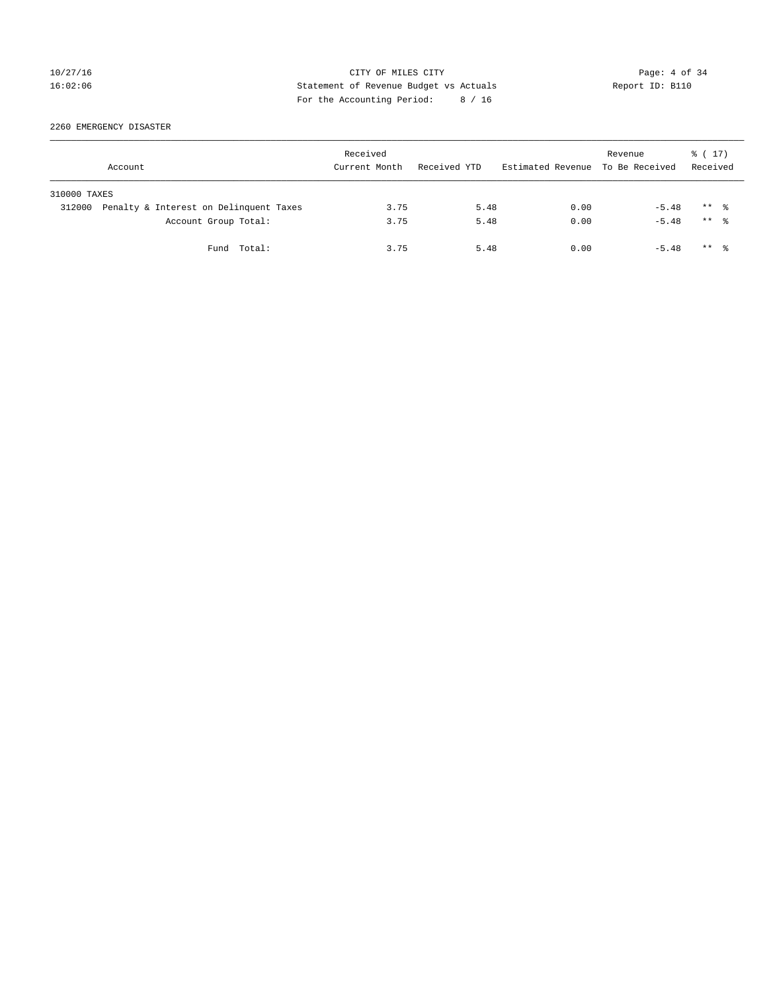## 10/27/16 CITY OF MILES CITY Page: 4 of 34 16:02:06 Statement of Revenue Budget vs Actuals Report ID: B110 For the Accounting Period: 8 / 16

2260 EMERGENCY DISASTER

| Account      |                                        | Received<br>Current Month | Received YTD | Estimated Revenue To Be Received | Revenue | ៖ ( 17)<br>Received  |  |
|--------------|----------------------------------------|---------------------------|--------------|----------------------------------|---------|----------------------|--|
| 310000 TAXES |                                        |                           |              |                                  |         |                      |  |
| 312000       | Penalty & Interest on Delinquent Taxes | 3.75                      | 5.48         | 0.00                             | $-5.48$ | $***$ $\frac{6}{10}$ |  |
|              | Account Group Total:                   | 3.75                      | 5.48         | 0.00                             | $-5.48$ | $***$ $\frac{6}{10}$ |  |
|              | Fund Total:                            | 3.75                      | 5.48         | 0.00                             | $-5.48$ | $***$ $\frac{6}{10}$ |  |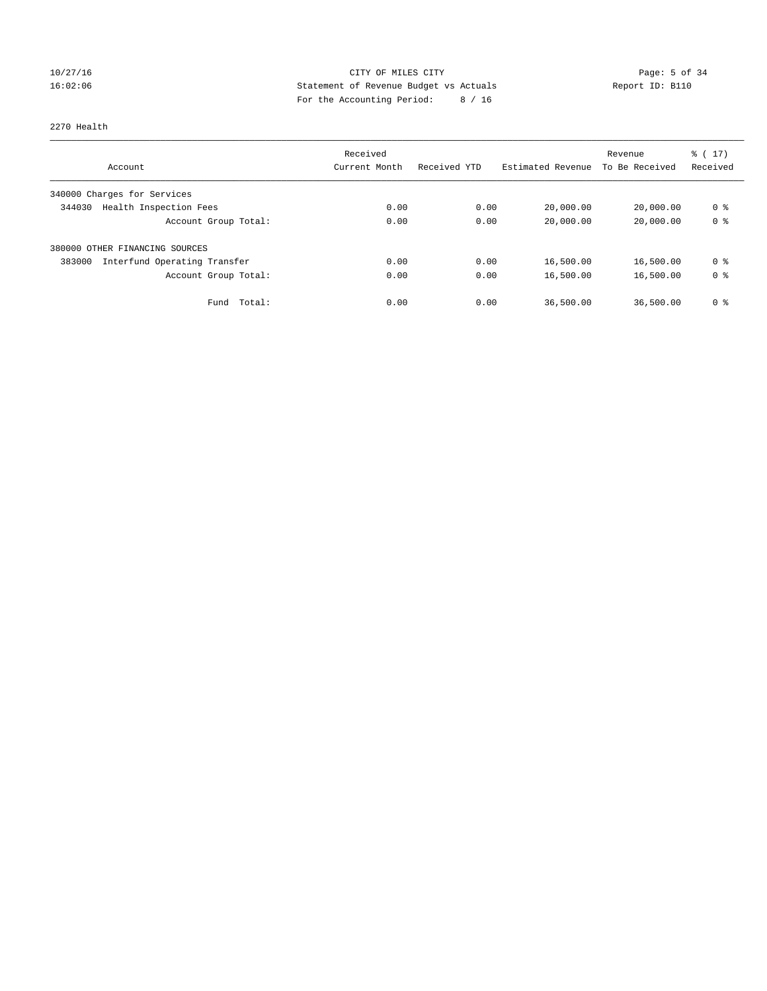## 10/27/16 CITY OF MILES CITY Page: 5 of 34 16:02:06 Statement of Revenue Budget vs Actuals Report ID: B110 For the Accounting Period: 8 / 16

## 2270 Health

|                                        | Received      |              |                   | Revenue        | $\frac{1}{2}$ (17) |
|----------------------------------------|---------------|--------------|-------------------|----------------|--------------------|
| Account                                | Current Month | Received YTD | Estimated Revenue | To Be Received | Received           |
| 340000 Charges for Services            |               |              |                   |                |                    |
| Health Inspection Fees<br>344030       | 0.00          | 0.00         | 20,000.00         | 20,000.00      | 0 <sup>8</sup>     |
| Account Group Total:                   | 0.00          | 0.00         | 20,000.00         | 20,000.00      | 0 <sup>8</sup>     |
| 380000 OTHER FINANCING SOURCES         |               |              |                   |                |                    |
| Interfund Operating Transfer<br>383000 | 0.00          | 0.00         | 16,500.00         | 16,500.00      | 0 <sup>8</sup>     |
| Account Group Total:                   | 0.00          | 0.00         | 16,500.00         | 16,500.00      | 0 <sup>8</sup>     |
| Total:<br>Fund                         | 0.00          | 0.00         | 36,500.00         | 36,500.00      | 0 %                |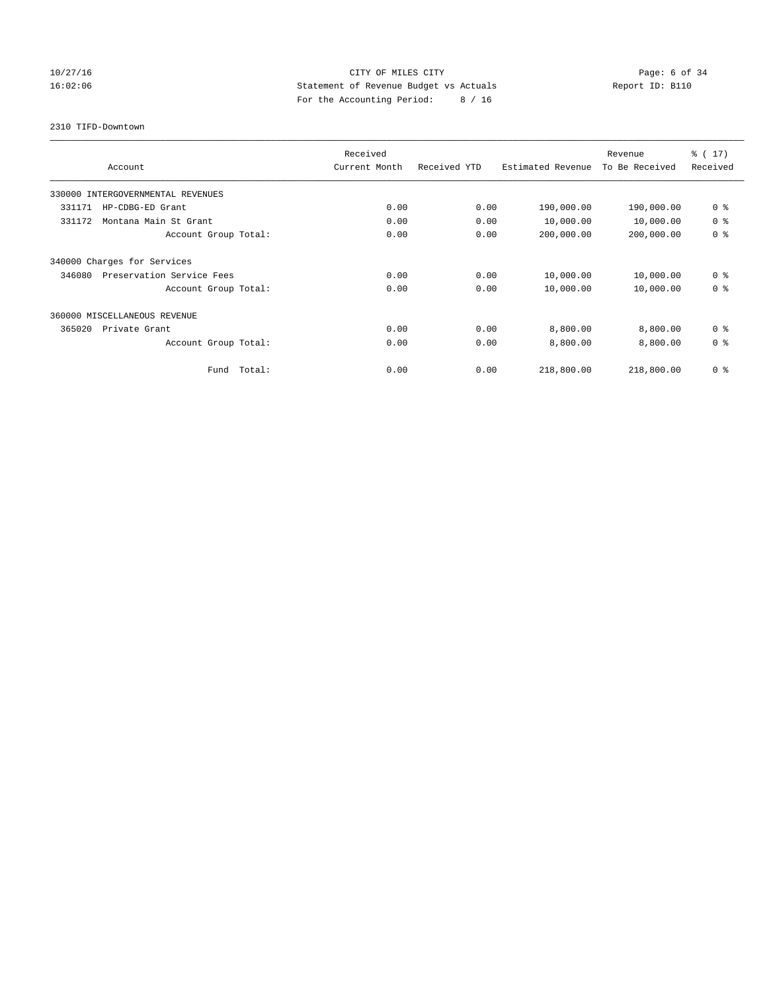## 10/27/16 CITY OF MILES CITY Page: 6 of 34 16:02:06 Statement of Revenue Budget vs Actuals Report ID: B110 For the Accounting Period: 8 / 16

2310 TIFD-Downtown

| Account                             |        | Received<br>Current Month | Received YTD | Estimated Revenue | Revenue<br>To Be Received | $\frac{1}{6}$ (17)<br>Received |
|-------------------------------------|--------|---------------------------|--------------|-------------------|---------------------------|--------------------------------|
| 330000 INTERGOVERNMENTAL REVENUES   |        |                           |              |                   |                           |                                |
| 331171<br>HP-CDBG-ED Grant          |        | 0.00                      | 0.00         | 190,000.00        | 190,000.00                | 0 <sup>8</sup>                 |
| 331172<br>Montana Main St Grant     |        | 0.00                      | 0.00         | 10,000.00         | 10,000.00                 | 0 <sup>8</sup>                 |
| Account Group Total:                |        | 0.00                      | 0.00         | 200,000.00        | 200,000.00                | 0 <sup>8</sup>                 |
| 340000 Charges for Services         |        |                           |              |                   |                           |                                |
| Preservation Service Fees<br>346080 |        | 0.00                      | 0.00         | 10,000.00         | 10,000.00                 | 0 <sup>8</sup>                 |
| Account Group Total:                |        | 0.00                      | 0.00         | 10,000.00         | 10,000.00                 | 0 <sup>8</sup>                 |
| 360000 MISCELLANEOUS REVENUE        |        |                           |              |                   |                           |                                |
| 365020<br>Private Grant             |        | 0.00                      | 0.00         | 8,800.00          | 8,800.00                  | 0 <sup>8</sup>                 |
| Account Group Total:                |        | 0.00                      | 0.00         | 8,800.00          | 8,800.00                  | 0 <sup>8</sup>                 |
| Fund                                | Total: | 0.00                      | 0.00         | 218,800.00        | 218,800.00                | 0 <sup>8</sup>                 |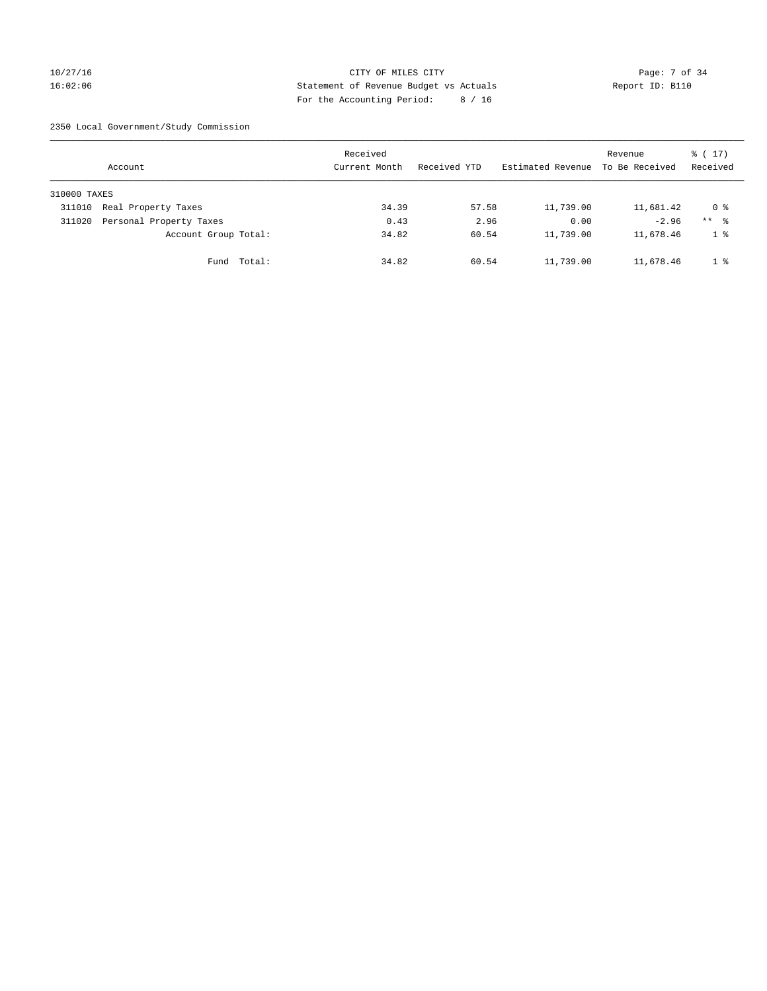## 10/27/16 CITY OF MILES CITY Page: 7 of 34 16:02:06 Statement of Revenue Budget vs Actuals Report ID: B110 For the Accounting Period: 8 / 16

2350 Local Government/Study Commission

|              | Account                 |             | Received<br>Current Month |       | Received YTD |       | Estimated Revenue | Revenue<br>To Be Received | $\frac{1}{2}$ (17)<br>Received |
|--------------|-------------------------|-------------|---------------------------|-------|--------------|-------|-------------------|---------------------------|--------------------------------|
| 310000 TAXES |                         |             |                           |       |              |       |                   |                           |                                |
| 311010       | Real Property Taxes     |             |                           | 34.39 |              | 57.58 | 11,739.00         | 11,681.42                 | 0 %                            |
| 311020       | Personal Property Taxes |             |                           | 0.43  |              | 2.96  | 0.00              | $-2.96$                   | $***$ %                        |
|              | Account Group Total:    |             |                           | 34.82 |              | 60.54 | 11,739.00         | 11,678.46                 | 1 %                            |
|              |                         | Fund Total: |                           | 34.82 |              | 60.54 | 11,739.00         | 11,678.46                 | 1 %                            |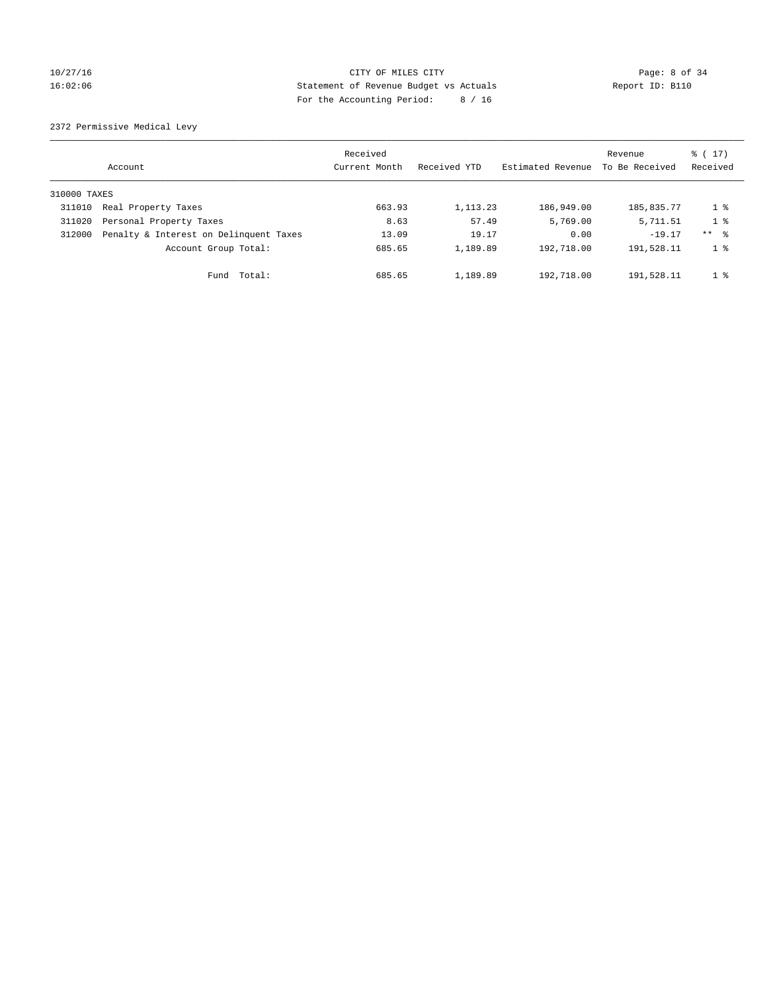## 10/27/16 CITY OF MILES CITY Page: 8 of 34 16:02:06 Statement of Revenue Budget vs Actuals Report ID: B110 For the Accounting Period: 8 / 16

2372 Permissive Medical Levy

|              | Account                                | Received<br>Current Month | Received YTD | Estimated Revenue | Revenue<br>To Be Received | $\frac{1}{6}$ ( 17)<br>Received |
|--------------|----------------------------------------|---------------------------|--------------|-------------------|---------------------------|---------------------------------|
| 310000 TAXES |                                        |                           |              |                   |                           |                                 |
| 311010       | Real Property Taxes                    | 663.93                    | 1, 113. 23   | 186,949.00        | 185,835.77                | $1 \circ$                       |
| 311020       | Personal Property Taxes                | 8.63                      | 57.49        | 5,769.00          | 5,711.51                  | 1 <sup>8</sup>                  |
| 312000       | Penalty & Interest on Delinquent Taxes | 13.09                     | 19.17        | 0.00              | $-19.17$                  | $***$ $ -$                      |
|              | Account Group Total:                   | 685.65                    | 1,189.89     | 192,718.00        | 191,528.11                | 1 <sup>8</sup>                  |
|              | Total:<br>Fund                         | 685.65                    | 1,189.89     | 192,718.00        | 191,528.11                | 1 <sup>8</sup>                  |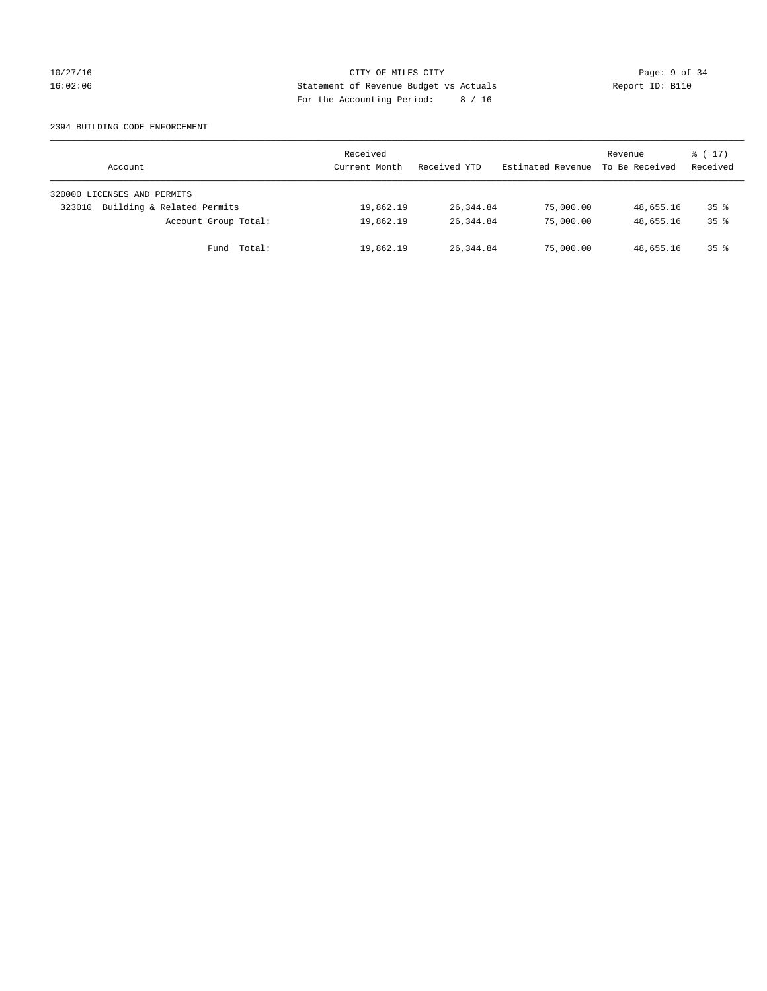## 10/27/16 CITY OF MILES CITY Page: 9 of 34 16:02:06 Statement of Revenue Budget vs Actuals Report ID: B110 For the Accounting Period: 8 / 16

### 2394 BUILDING CODE ENFORCEMENT

| Account                              | Received<br>Current Month | Received YTD | Estimated Revenue | Revenue<br>To Be Received | $\frac{1}{6}$ ( 17)<br>Received |
|--------------------------------------|---------------------------|--------------|-------------------|---------------------------|---------------------------------|
| 320000 LICENSES AND PERMITS          |                           |              |                   |                           |                                 |
| Building & Related Permits<br>323010 | 19,862.19                 | 26,344.84    | 75,000.00         | 48,655.16                 | 35 <sup>8</sup>                 |
| Account Group Total:                 | 19,862.19                 | 26,344.84    | 75,000.00         | 48,655.16                 | $35*$                           |
| Total:<br>Fund                       | 19,862.19                 | 26,344.84    | 75,000.00         | 48,655.16                 | $35*$                           |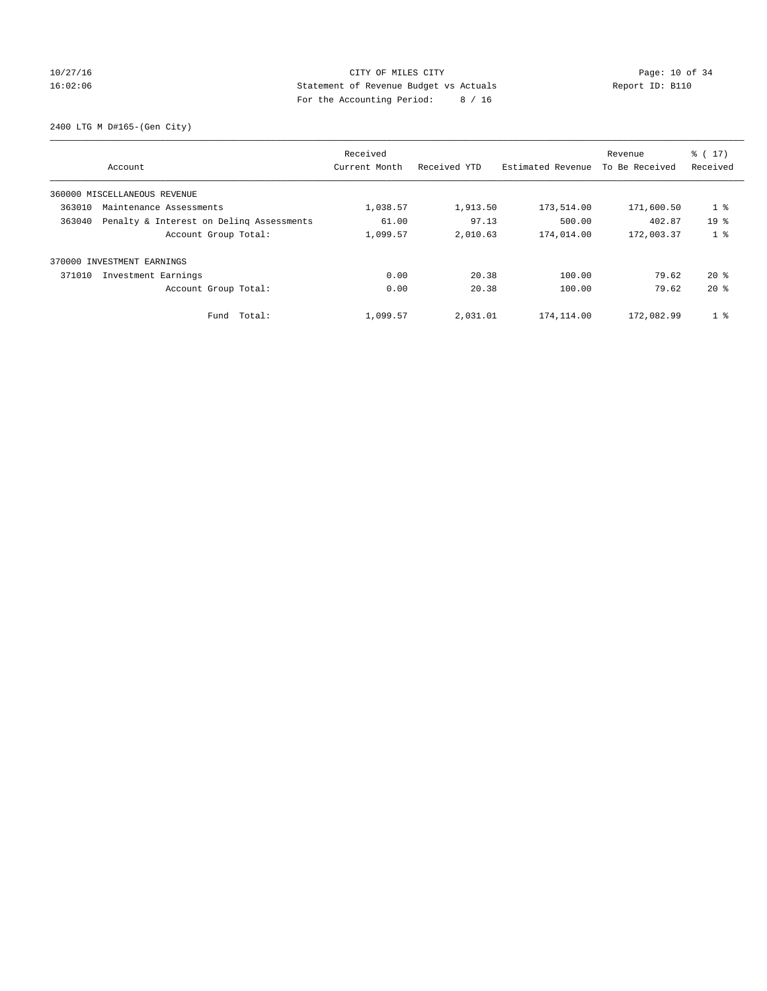## 10/27/16 Page: 10 of 34 16:02:06 Statement of Revenue Budget vs Actuals Report ID: B110 For the Accounting Period: 8 / 16

2400 LTG M D#165-(Gen City)

| Account                                            | Received<br>Current Month | Received YTD | Estimated Revenue | Revenue<br>To Be Received | $\frac{1}{6}$ (17)<br>Received |
|----------------------------------------------------|---------------------------|--------------|-------------------|---------------------------|--------------------------------|
| 360000 MISCELLANEOUS REVENUE                       |                           |              |                   |                           |                                |
| 363010<br>Maintenance Assessments                  | 1,038.57                  | 1,913.50     | 173,514.00        | 171,600.50                | 1 <sup>°</sup>                 |
| Penalty & Interest on Deling Assessments<br>363040 | 61.00                     | 97.13        | 500.00            | 402.87                    | 19 <sup>8</sup>                |
| Account Group Total:                               | 1,099.57                  | 2,010.63     | 174,014.00        | 172,003.37                | 1 <sub>8</sub>                 |
| INVESTMENT EARNINGS<br>370000                      |                           |              |                   |                           |                                |
| 371010<br>Investment Earnings                      | 0.00                      | 20.38        | 100.00            | 79.62                     | $20*$                          |
| Account Group Total:                               | 0.00                      | 20.38        | 100.00            | 79.62                     | $20*$                          |
| Fund Total:                                        | 1,099.57                  | 2,031.01     | 174,114.00        | 172,082.99                | 1 <sup>°</sup>                 |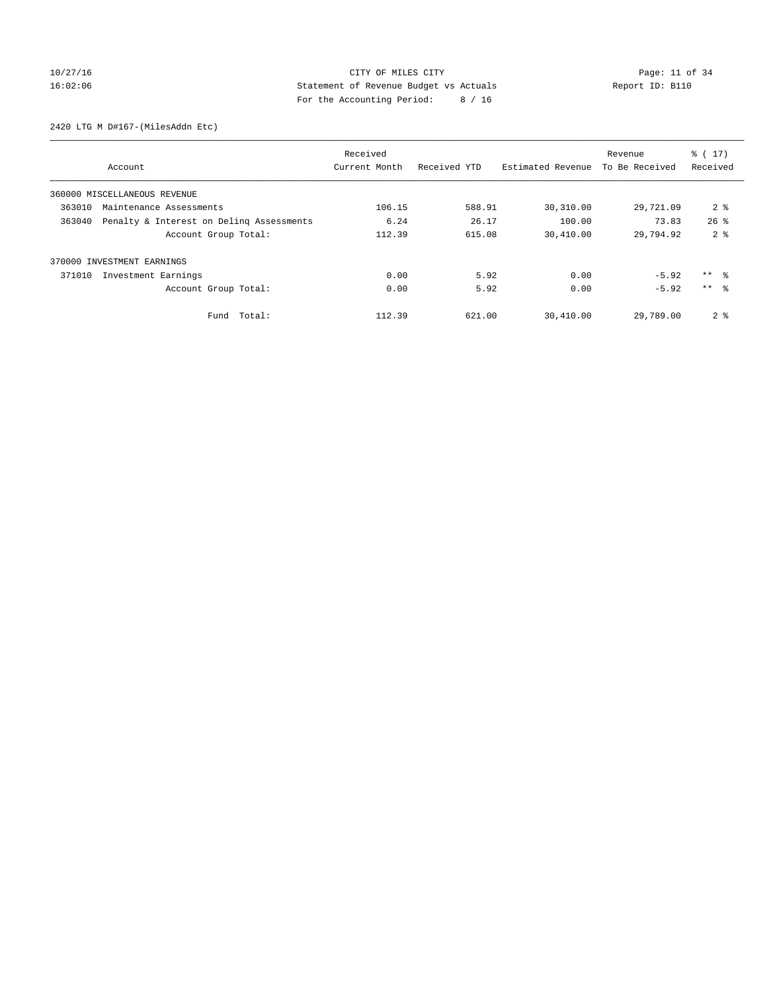## 10/27/16 Page: 11 of 34 16:02:06 Statement of Revenue Budget vs Actuals Report ID: B110 For the Accounting Period: 8 / 16

2420 LTG M D#167-(MilesAddn Etc)

|        |                                          | Received      |              |                   | Revenue        | $\frac{1}{6}$ (17) |
|--------|------------------------------------------|---------------|--------------|-------------------|----------------|--------------------|
|        | Account                                  | Current Month | Received YTD | Estimated Revenue | To Be Received | Received           |
|        | 360000 MISCELLANEOUS REVENUE             |               |              |                   |                |                    |
| 363010 | Maintenance Assessments                  | 106.15        | 588.91       | 30,310.00         | 29,721.09      | 2 <sup>8</sup>     |
| 363040 | Penalty & Interest on Deling Assessments | 6.24          | 26.17        | 100.00            | 73.83          | $26$ $\frac{6}{3}$ |
|        | Account Group Total:                     | 112.39        | 615.08       | 30,410.00         | 29,794.92      | 2 <sub>8</sub>     |
| 370000 | INVESTMENT EARNINGS                      |               |              |                   |                |                    |
| 371010 | Investment Earnings                      | 0.00          | 5.92         | 0.00              | $-5.92$        | ** 왕               |
|        | Account Group Total:                     | 0.00          | 5.92         | 0.00              | $-5.92$        | $***$ $\approx$    |
|        | Fund Total:                              | 112.39        | 621.00       | 30,410.00         | 29,789.00      | 2 <sub>8</sub>     |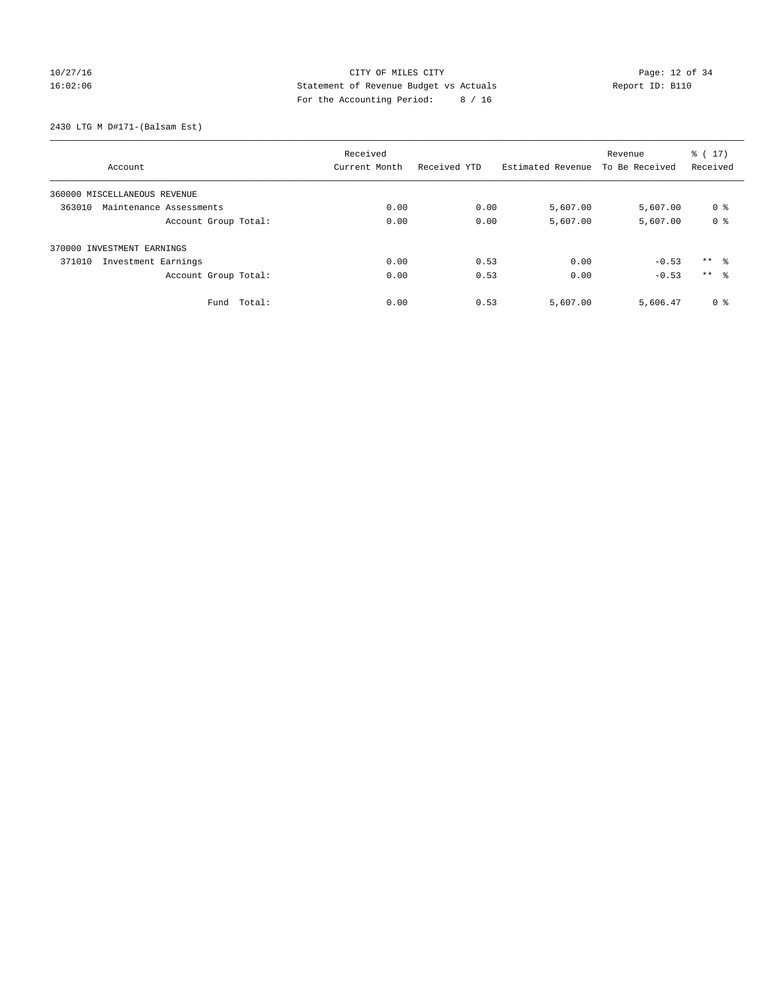## 10/27/16 Page: 12 of 34 16:02:06 Statement of Revenue Budget vs Actuals Report ID: B110 For the Accounting Period: 8 / 16

2430 LTG M D#171-(Balsam Est)

|                                   |        | Received<br>Current Month | Received YTD | Estimated Revenue | Revenue<br>To Be Received | $\frac{1}{6}$ ( 17 )<br>Received |
|-----------------------------------|--------|---------------------------|--------------|-------------------|---------------------------|----------------------------------|
| Account                           |        |                           |              |                   |                           |                                  |
| 360000 MISCELLANEOUS REVENUE      |        |                           |              |                   |                           |                                  |
| 363010<br>Maintenance Assessments |        | 0.00                      | 0.00         | 5,607.00          | 5,607.00                  | 0 %                              |
| Account Group Total:              |        | 0.00                      | 0.00         | 5,607.00          | 5,607.00                  | 0 <sup>8</sup>                   |
| 370000 INVESTMENT EARNINGS        |        |                           |              |                   |                           |                                  |
| Investment Earnings<br>371010     |        | 0.00                      | 0.53         | 0.00              | $-0.53$                   | $***$ $\approx$                  |
| Account Group Total:              |        | 0.00                      | 0.53         | 0.00              | $-0.53$                   | ** %                             |
| Fund                              | Total: | 0.00                      | 0.53         | 5,607.00          | 5,606.47                  | 0 <sup>8</sup>                   |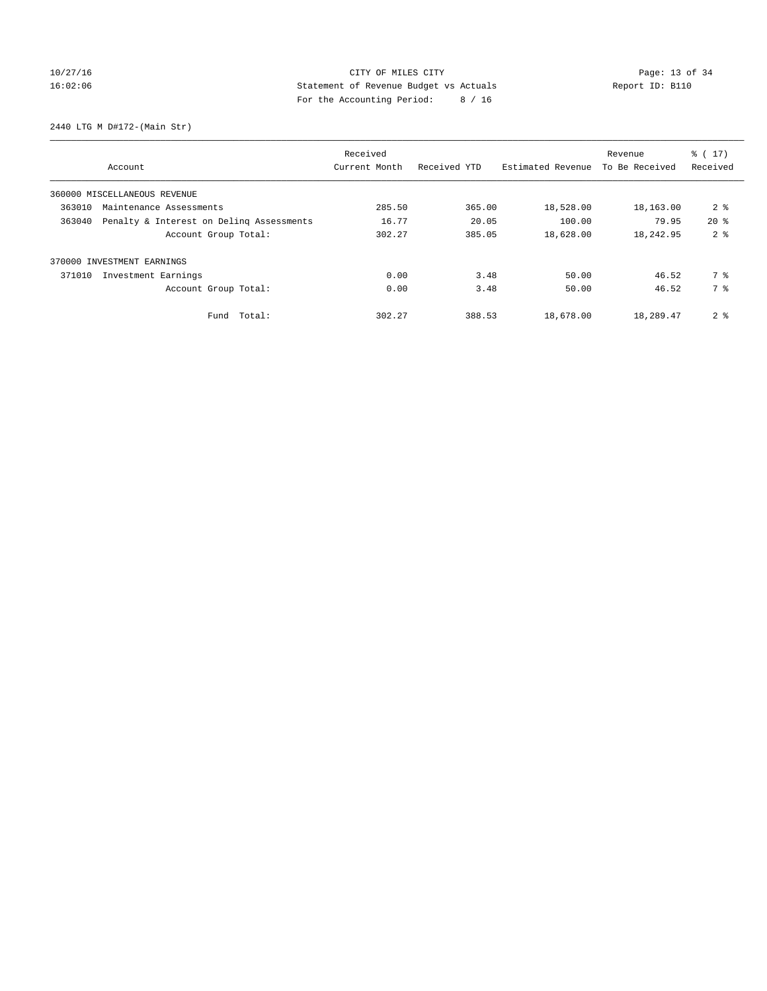## 10/27/16 Page: 13 of 34 16:02:06 Statement of Revenue Budget vs Actuals Report ID: B110 For the Accounting Period: 8 / 16

2440 LTG M D#172-(Main Str)

| Account                      |                                          | Received<br>Current Month | Received YTD | Estimated Revenue | Revenue<br>To Be Received | % (17)<br>Received |
|------------------------------|------------------------------------------|---------------------------|--------------|-------------------|---------------------------|--------------------|
|                              |                                          |                           |              |                   |                           |                    |
| 360000 MISCELLANEOUS REVENUE |                                          |                           |              |                   |                           |                    |
| 363010                       | Maintenance Assessments                  | 285.50                    | 365.00       | 18,528.00         | 18,163.00                 | 2 <sup>8</sup>     |
| 363040                       | Penalty & Interest on Deling Assessments | 16.77                     | 20.05        | 100.00            | 79.95                     | $20*$              |
|                              | Account Group Total:                     | 302.27                    | 385.05       | 18,628.00         | 18,242.95                 | 2 <sub>8</sub>     |
| 370000 INVESTMENT EARNINGS   |                                          |                           |              |                   |                           |                    |
| 371010                       | Investment Earnings                      | 0.00                      | 3.48         | 50.00             | 46.52                     | 7 %                |
|                              | Account Group Total:                     | 0.00                      | 3.48         | 50.00             | 46.52                     | 7 %                |
|                              | Fund Total:                              | 302.27                    | 388.53       | 18,678.00         | 18,289.47                 | 2 <sub>8</sub>     |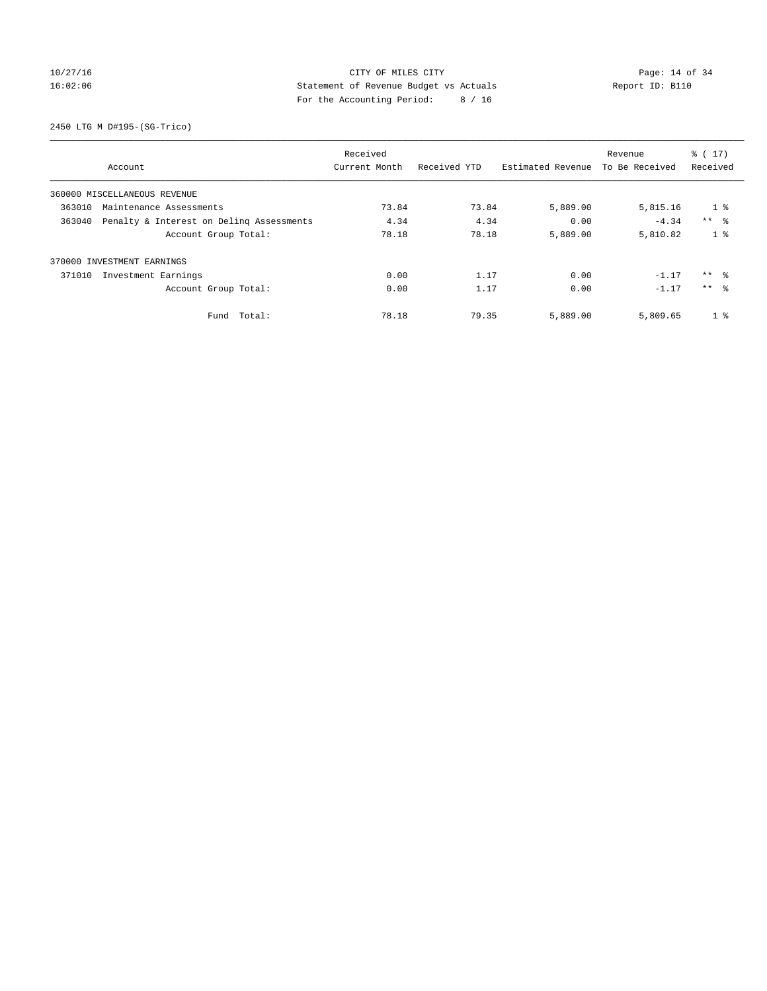## 10/27/16 **Page: 14 of 34** CITY OF MILES CITY **Page: 14 of 34** 16:02:06 Statement of Revenue Budget vs Actuals Report ID: B110 For the Accounting Period: 8 / 16

2450 LTG M D#195-(SG-Trico)

|                                                    | Received      |              |                   | Revenue        | $\frac{2}{3}$ ( 17) |
|----------------------------------------------------|---------------|--------------|-------------------|----------------|---------------------|
| Account                                            | Current Month | Received YTD | Estimated Revenue | To Be Received | Received            |
| 360000 MISCELLANEOUS REVENUE                       |               |              |                   |                |                     |
| 363010<br>Maintenance Assessments                  | 73.84         | 73.84        | 5,889.00          | 5,815.16       | $1 \circ$           |
| Penalty & Interest on Deling Assessments<br>363040 | 4.34          | 4.34         | 0.00              | $-4.34$        | $***$ $\approx$     |
| Account Group Total:                               | 78.18         | 78.18        | 5,889.00          | 5,810.82       | 1 <sup>8</sup>      |
| 370000 INVESTMENT EARNINGS                         |               |              |                   |                |                     |
| 371010<br>Investment Earnings                      | 0.00          | 1.17         | 0.00              | $-1.17$        | $***$ $\approx$     |
| Account Group Total:                               | 0.00          | 1.17         | 0.00              | $-1.17$        | $***$ $\approx$     |
| Total:<br>Fund                                     | 78.18         | 79.35        | 5,889.00          | 5,809.65       | 1 <sup>8</sup>      |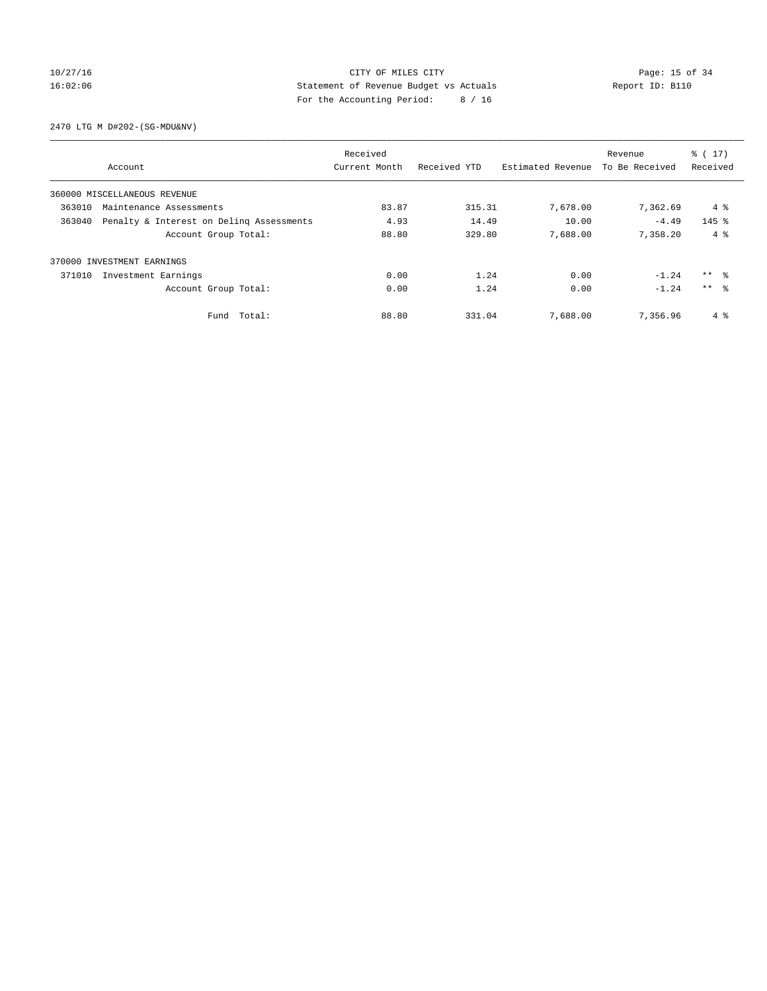## 10/27/16 Page: 15 of 34 16:02:06 Statement of Revenue Budget vs Actuals Report ID: B110 For the Accounting Period: 8 / 16

2470 LTG M D#202-(SG-MDU&NV)

|                                                    | Received      |              |                   | Revenue        | $\frac{2}{3}$ ( 17) |
|----------------------------------------------------|---------------|--------------|-------------------|----------------|---------------------|
| Account                                            | Current Month | Received YTD | Estimated Revenue | To Be Received | Received            |
| 360000 MISCELLANEOUS REVENUE                       |               |              |                   |                |                     |
| 363010<br>Maintenance Assessments                  | 83.87         | 315.31       | 7,678.00          | 7,362.69       | 4 %                 |
| 363040<br>Penalty & Interest on Deling Assessments | 4.93          | 14.49        | 10.00             | $-4.49$        | $145$ %             |
| Account Group Total:                               | 88.80         | 329.80       | 7,688.00          | 7.358.20       | $4 \text{ }$        |
| 370000 INVESTMENT EARNINGS                         |               |              |                   |                |                     |
| 371010<br>Investment Earnings                      | 0.00          | 1.24         | 0.00              | $-1.24$        | ** 왕                |
| Account Group Total:                               | 0.00          | 1.24         | 0.00              | $-1.24$        | $***$ $\approx$     |
| Total:<br>Fund                                     | 88.80         | 331.04       | 7,688.00          | 7,356.96       | 4 %                 |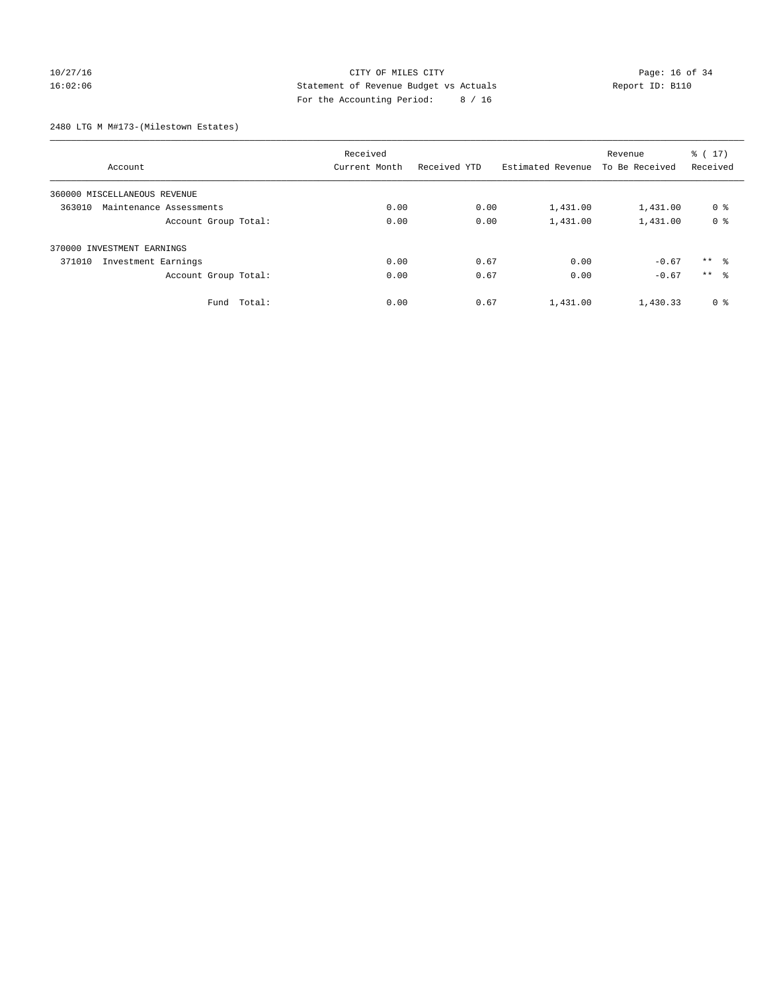## 10/27/16 **Page: 16 of 34** CITY OF MILES CITY **Page: 16 of 34** 16:02:06 Statement of Revenue Budget vs Actuals Report ID: B110 For the Accounting Period: 8 / 16

2480 LTG M M#173-(Milestown Estates)

|                                   | Received      |              |                   | Revenue        | $\frac{1}{6}$ ( 17) |
|-----------------------------------|---------------|--------------|-------------------|----------------|---------------------|
| Account                           | Current Month | Received YTD | Estimated Revenue | To Be Received | Received            |
| 360000 MISCELLANEOUS REVENUE      |               |              |                   |                |                     |
| 363010<br>Maintenance Assessments | 0.00          | 0.00         | 1,431.00          | 1,431.00       | 0 <sup>8</sup>      |
| Account Group Total:              | 0.00          | 0.00         | 1,431.00          | 1,431.00       | 0 <sup>8</sup>      |
| 370000 INVESTMENT EARNINGS        |               |              |                   |                |                     |
| 371010<br>Investment Earnings     | 0.00          | 0.67         | 0.00              | $-0.67$        | $***$ $\approx$     |
| Account Group Total:              | 0.00          | 0.67         | 0.00              | $-0.67$        | $***$ $\approx$     |
| Fund Total:                       | 0.00          | 0.67         | 1,431.00          | 1,430.33       | 0 <sup>8</sup>      |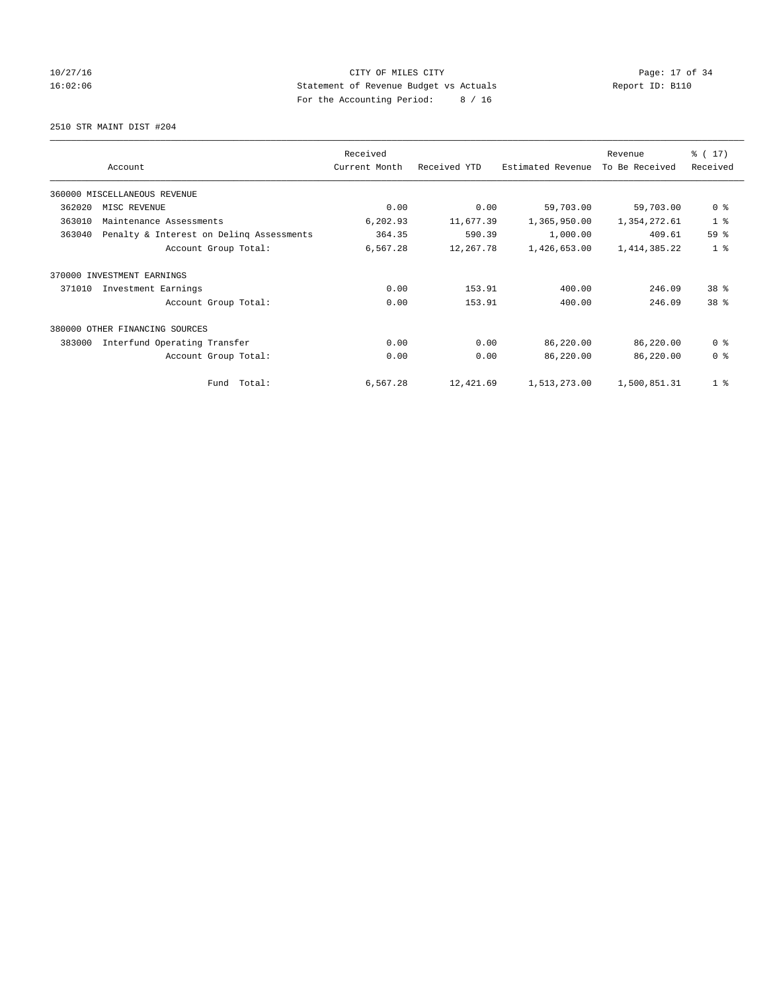## 10/27/16 Page: 17 of 34 16:02:06 Statement of Revenue Budget vs Actuals Report ID: B110 For the Accounting Period: 8 / 16

2510 STR MAINT DIST #204

|        |                                          | Received      |              |                   | Revenue        | $\frac{1}{6}$ (17) |
|--------|------------------------------------------|---------------|--------------|-------------------|----------------|--------------------|
|        | Account                                  | Current Month | Received YTD | Estimated Revenue | To Be Received | Received           |
|        | 360000 MISCELLANEOUS REVENUE             |               |              |                   |                |                    |
| 362020 | MISC REVENUE                             | 0.00          | 0.00         | 59,703.00         | 59,703.00      | 0 <sup>8</sup>     |
| 363010 | Maintenance Assessments                  | 6,202.93      | 11,677.39    | 1,365,950.00      | 1,354,272.61   | 1 <sup>8</sup>     |
| 363040 | Penalty & Interest on Deling Assessments | 364.35        | 590.39       | 1,000.00          | 409.61         | 59 %               |
|        | Account Group Total:                     | 6,567.28      | 12,267.78    | 1,426,653.00      | 1,414,385.22   | 1 <sup>8</sup>     |
| 370000 | INVESTMENT EARNINGS                      |               |              |                   |                |                    |
| 371010 | Investment Earnings                      | 0.00          | 153.91       | 400.00            | 246.09         | $38*$              |
|        | Account Group Total:                     | 0.00          | 153.91       | 400.00            | 246.09         | 38 <sup>8</sup>    |
|        | 380000 OTHER FINANCING SOURCES           |               |              |                   |                |                    |
| 383000 | Interfund Operating Transfer             | 0.00          | 0.00         | 86,220.00         | 86,220.00      | 0 <sup>8</sup>     |
|        | Account Group Total:                     | 0.00          | 0.00         | 86,220.00         | 86,220.00      | 0 <sup>8</sup>     |
|        | Fund Total:                              | 6,567.28      | 12,421.69    | 1,513,273.00      | 1,500,851.31   | 1 <sup>8</sup>     |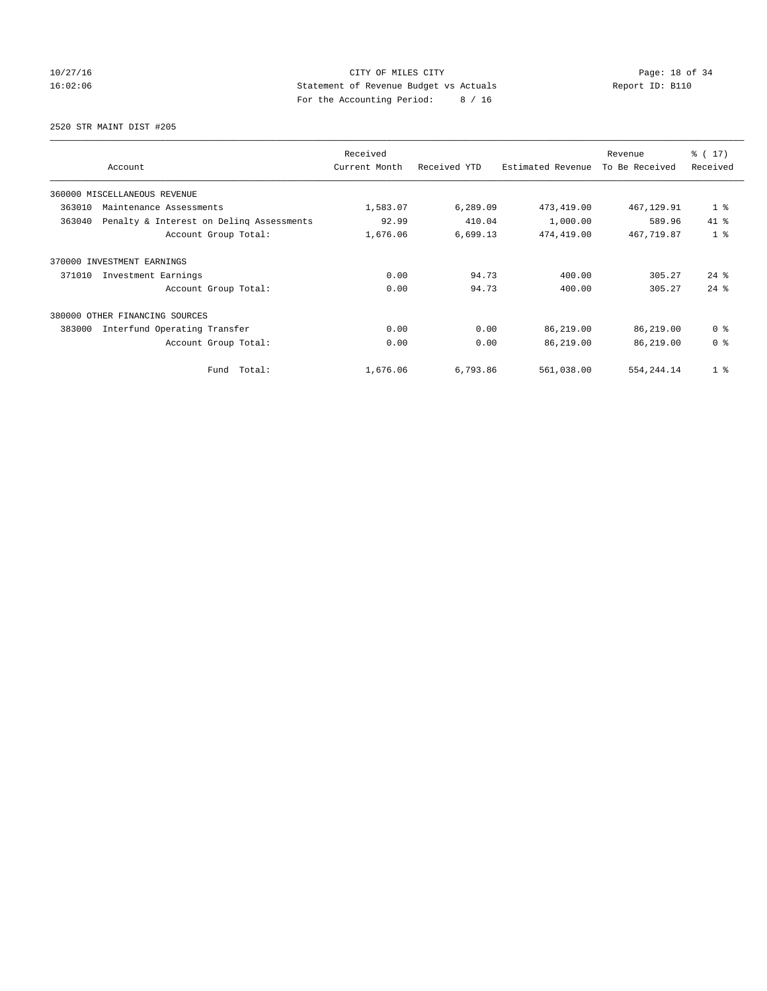## 10/27/16 Page: 18 of 34 16:02:06 Statement of Revenue Budget vs Actuals Report ID: B110 For the Accounting Period: 8 / 16

2520 STR MAINT DIST #205

| Account                                            | Received<br>Current Month | Received YTD | Estimated Revenue | Revenue<br>To Be Received | $\frac{1}{6}$ (17)<br>Received |
|----------------------------------------------------|---------------------------|--------------|-------------------|---------------------------|--------------------------------|
| 360000 MISCELLANEOUS REVENUE                       |                           |              |                   |                           |                                |
| 363010<br>Maintenance Assessments                  | 1,583.07                  | 6,289.09     | 473, 419.00       | 467,129.91                | 1 <sub>8</sub>                 |
| 363040<br>Penalty & Interest on Deling Assessments | 92.99                     | 410.04       | 1,000.00          | 589.96                    | 41.8                           |
| Account Group Total:                               | 1,676.06                  | 6,699.13     | 474,419.00        | 467,719.87                | 1 <sup>8</sup>                 |
| 370000<br>INVESTMENT EARNINGS                      |                           |              |                   |                           |                                |
| 371010<br>Investment Earnings                      | 0.00                      | 94.73        | 400.00            | 305.27                    | $24$ $\frac{6}{3}$             |
| Account Group Total:                               | 0.00                      | 94.73        | 400.00            | 305.27                    | $24$ $%$                       |
| 380000 OTHER FINANCING SOURCES                     |                           |              |                   |                           |                                |
| 383000<br>Interfund Operating Transfer             | 0.00                      | 0.00         | 86,219.00         | 86,219.00                 | 0 <sup>8</sup>                 |
| Account Group Total:                               | 0.00                      | 0.00         | 86,219.00         | 86,219.00                 | 0 <sup>8</sup>                 |
| Fund Total:                                        | 1,676.06                  | 6,793.86     | 561,038.00        | 554, 244.14               | 1 <sup>°</sup>                 |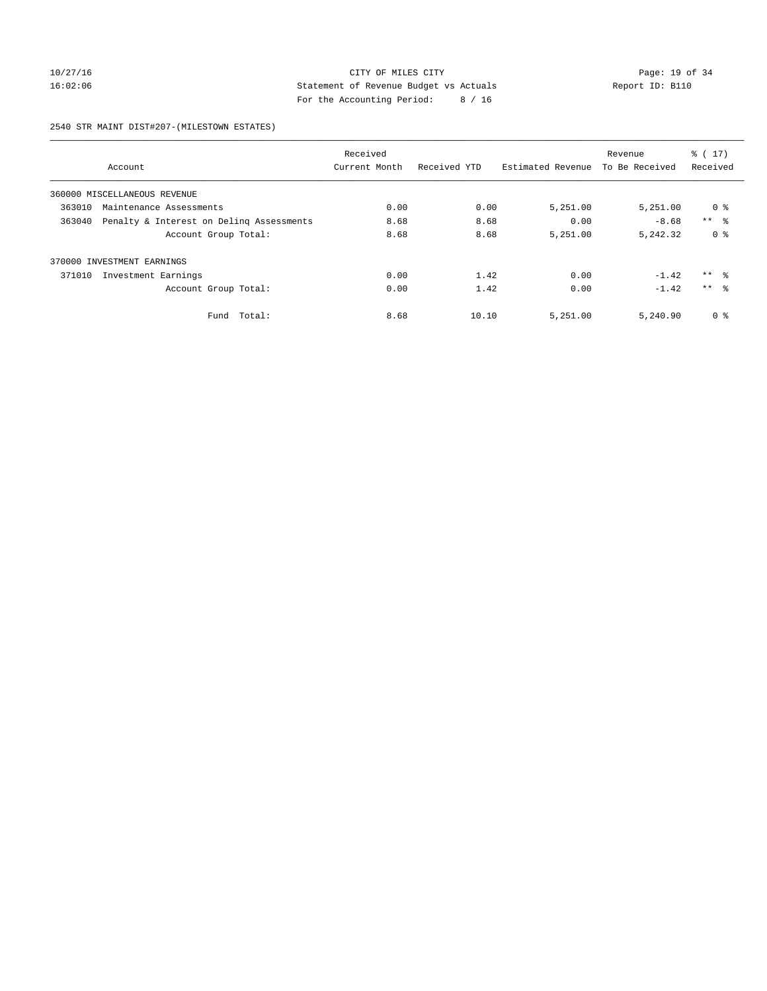## 10/27/16 Page: 19 of 34 16:02:06 Statement of Revenue Budget vs Actuals Report ID: B110 For the Accounting Period: 8 / 16

2540 STR MAINT DIST#207-(MILESTOWN ESTATES)

|        |                                          | Received      |              |                   | Revenue        | $\frac{1}{6}$ (17) |
|--------|------------------------------------------|---------------|--------------|-------------------|----------------|--------------------|
|        | Account                                  | Current Month | Received YTD | Estimated Revenue | To Be Received | Received           |
|        | 360000 MISCELLANEOUS REVENUE             |               |              |                   |                |                    |
| 363010 | Maintenance Assessments                  | 0.00          | 0.00         | 5,251.00          | 5,251.00       | 0 <sup>8</sup>     |
| 363040 | Penalty & Interest on Deling Assessments | 8.68          | 8.68         | 0.00              | $-8.68$        | $***$ $\approx$    |
|        | Account Group Total:                     | 8.68          | 8.68         | 5,251.00          | 5, 242, 32     | 0 <sup>8</sup>     |
|        | 370000 INVESTMENT EARNINGS               |               |              |                   |                |                    |
| 371010 | Investment Earnings                      | 0.00          | 1.42         | 0.00              | $-1.42$        | $***$ $\approx$    |
|        | Account Group Total:                     | 0.00          | 1.42         | 0.00              | $-1.42$        | $***$ $\approx$    |
|        | Total:<br>Fund                           | 8.68          | 10.10        | 5,251.00          | 5,240.90       | 0 %                |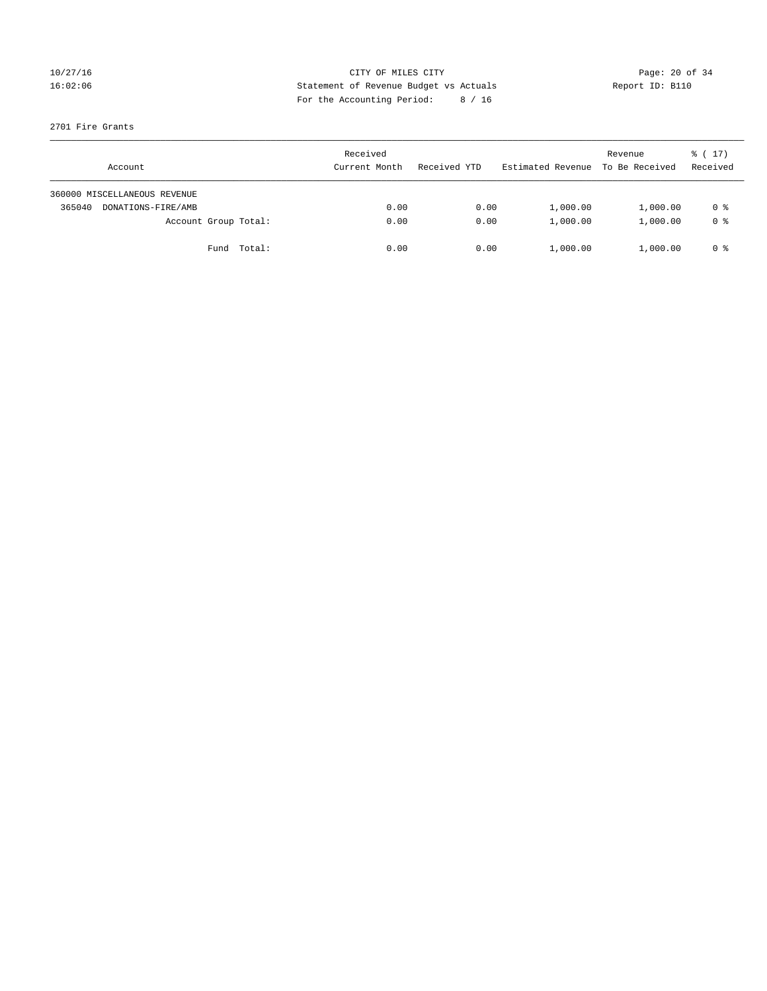## 10/27/16 Page: 20 of 34 16:02:06 Statement of Revenue Budget vs Actuals Report ID: B110 For the Accounting Period: 8 / 16

## 2701 Fire Grants

| Account                      | Received<br>Current Month | Received YTD | Estimated Revenue | Revenue<br>To Be Received | $\frac{1}{6}$ ( 17)<br>Received |
|------------------------------|---------------------------|--------------|-------------------|---------------------------|---------------------------------|
| 360000 MISCELLANEOUS REVENUE |                           |              |                   |                           |                                 |
| 365040<br>DONATIONS-FIRE/AMB | 0.00                      | 0.00         | 1,000.00          | 1,000.00                  | 0 %                             |
| Account Group Total:         | 0.00                      | 0.00         | 1,000.00          | 1,000.00                  | 0 <sup>8</sup>                  |
| Fund Total:                  | 0.00                      | 0.00         | 1,000.00          | 1,000.00                  | 0 %                             |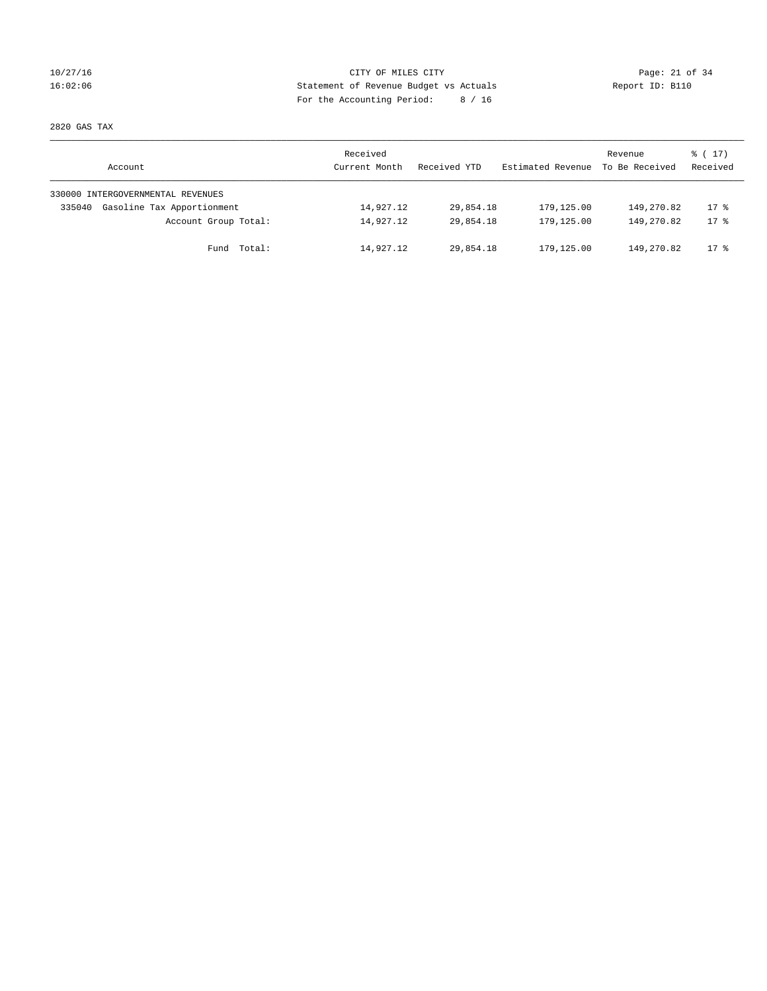## 10/27/16 Page: 21 of 34 16:02:06 Statement of Revenue Budget vs Actuals Report ID: B110 For the Accounting Period: 8 / 16

2820 GAS TAX

| Account                              | Received<br>Current Month | Received YTD | Estimated Revenue | Revenue<br>To Be Received | $\frac{1}{6}$ ( 17)<br>Received |
|--------------------------------------|---------------------------|--------------|-------------------|---------------------------|---------------------------------|
| 330000 INTERGOVERNMENTAL REVENUES    |                           |              |                   |                           |                                 |
| Gasoline Tax Apportionment<br>335040 | 14,927.12                 | 29,854.18    | 179,125.00        | 149,270.82                | $17$ %                          |
| Account Group Total:                 | 14,927.12                 | 29,854.18    | 179,125.00        | 149,270.82                | $17*$                           |
| Fund Total:                          | 14,927.12                 | 29,854.18    | 179,125.00        | 149,270.82                | $17$ %                          |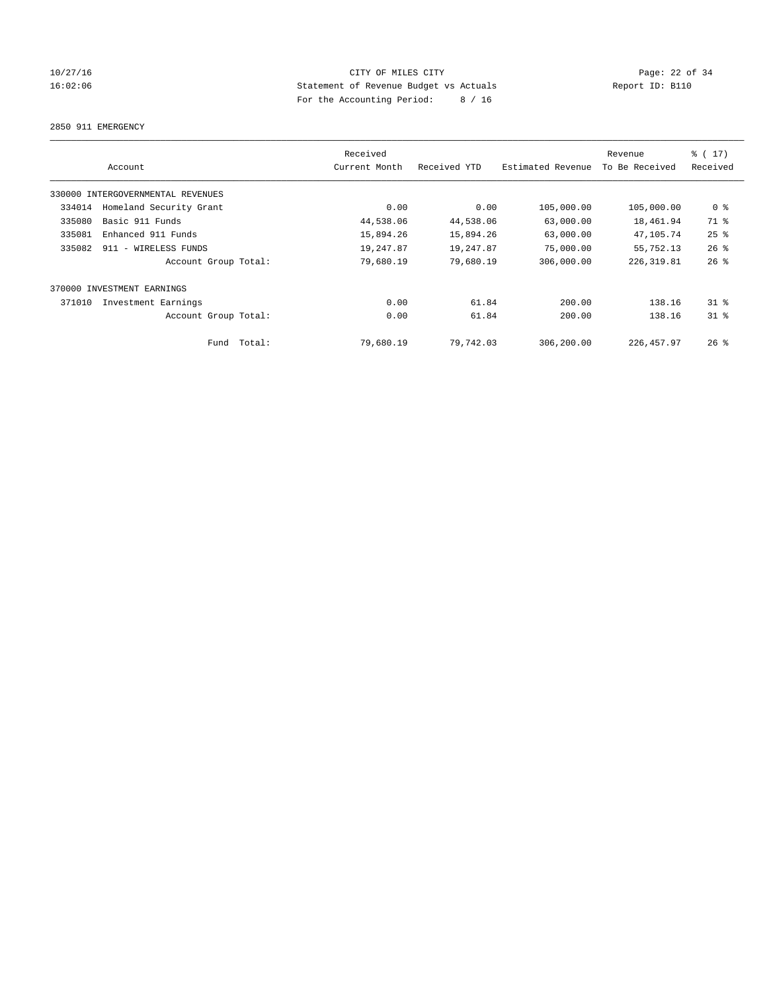## 10/27/16 Page: 22 of 34 16:02:06 Statement of Revenue Budget vs Actuals Report ID: B110 For the Accounting Period: 8 / 16

### 2850 911 EMERGENCY

|        | Account                           | Received<br>Current Month | Received YTD | Estimated Revenue | Revenue<br>To Be Received | $\frac{1}{2}$ (17)<br>Received |
|--------|-----------------------------------|---------------------------|--------------|-------------------|---------------------------|--------------------------------|
|        | 330000 INTERGOVERNMENTAL REVENUES |                           |              |                   |                           |                                |
| 334014 | Homeland Security Grant           | 0.00                      | 0.00         | 105,000.00        | 105,000.00                | 0 <sup>8</sup>                 |
| 335080 | Basic 911 Funds                   | 44,538.06                 | 44,538.06    | 63,000.00         | 18,461.94                 | 71 %                           |
| 335081 | Enhanced 911 Funds                | 15,894.26                 | 15,894.26    | 63,000.00         | 47,105.74                 | $25$ $%$                       |
| 335082 | 911 - WIRELESS FUNDS              | 19,247.87                 | 19,247.87    | 75,000.00         | 55,752.13                 | $26$ %                         |
|        | Account Group Total:              | 79,680.19                 | 79,680.19    | 306,000.00        | 226, 319.81               | $26$ %                         |
|        | 370000 INVESTMENT EARNINGS        |                           |              |                   |                           |                                |
| 371010 | Investment Earnings               | 0.00                      | 61.84        | 200.00            | 138.16                    | $31$ $%$                       |
|        | Account Group Total:              | 0.00                      | 61.84        | 200.00            | 138.16                    | $31*$                          |
|        | Total:<br>Fund                    | 79,680.19                 | 79,742.03    | 306,200.00        | 226, 457.97               | $26$ $\frac{6}{3}$             |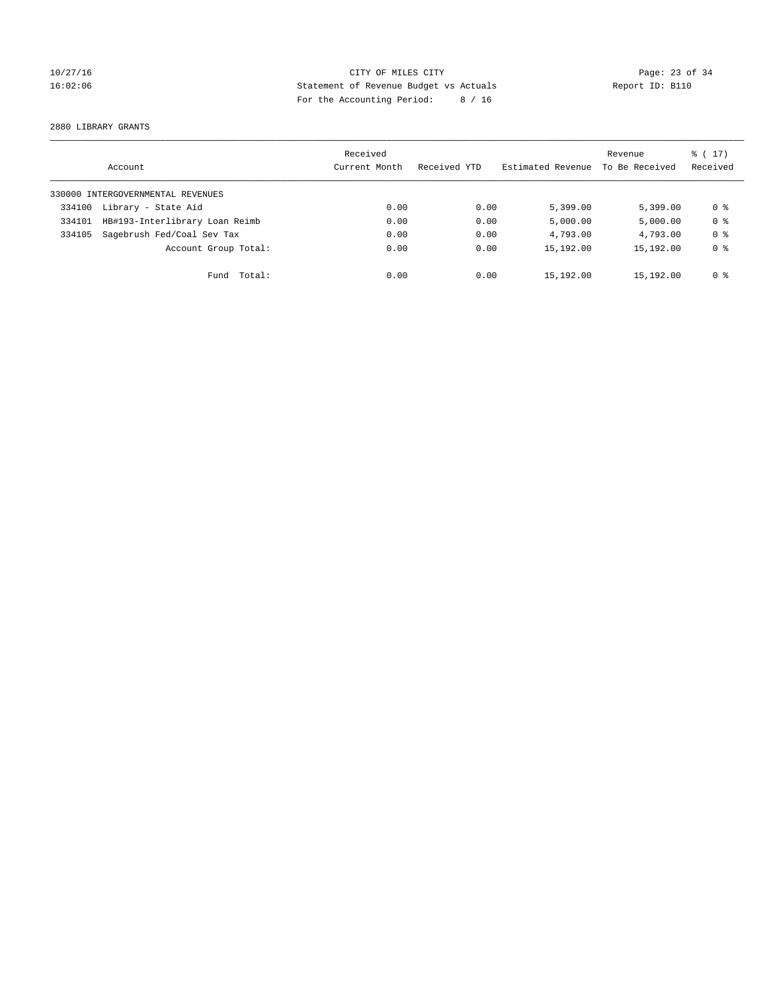## 10/27/16 Page: 23 of 34 16:02:06 Statement of Revenue Budget vs Actuals Report ID: B110 For the Accounting Period: 8 / 16

2880 LIBRARY GRANTS

|        | Account                           | Received<br>Current Month | Received YTD | Estimated Revenue | Revenue<br>To Be Received | $\frac{1}{6}$ (17)<br>Received |
|--------|-----------------------------------|---------------------------|--------------|-------------------|---------------------------|--------------------------------|
|        | 330000 INTERGOVERNMENTAL REVENUES |                           |              |                   |                           |                                |
| 334100 | Library - State Aid               | 0.00                      | 0.00         | 5,399.00          | 5.399.00                  | 0 %                            |
| 334101 | HB#193-Interlibrary Loan Reimb    | 0.00                      | 0.00         | 5,000.00          | 5,000.00                  | 0 <sup>8</sup>                 |
| 334105 | Sagebrush Fed/Coal Sev Tax        | 0.00                      | 0.00         | 4,793.00          | 4,793.00                  | 0 <sup>8</sup>                 |
|        | Account Group Total:              | 0.00                      | 0.00         | 15,192.00         | 15,192.00                 | 0 <sup>8</sup>                 |
|        | Fund Total:                       | 0.00                      | 0.00         | 15,192.00         | 15,192.00                 | 0 %                            |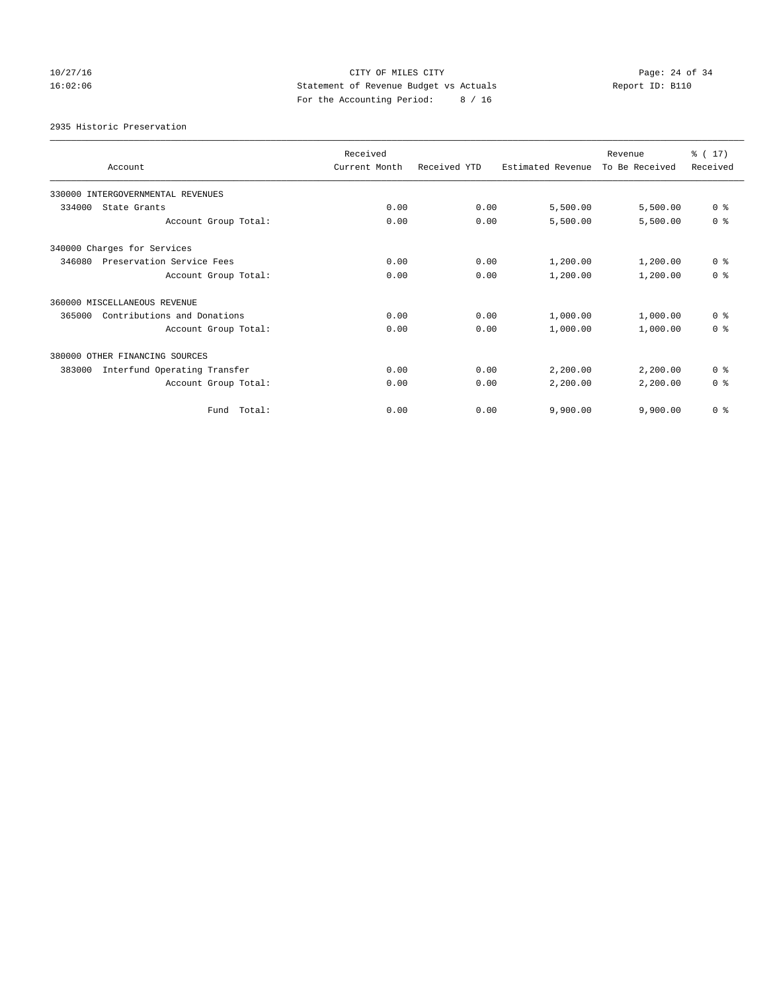## 10/27/16 Page: 24 of 34 16:02:06 Statement of Revenue Budget vs Actuals Report ID: B110 For the Accounting Period: 8 / 16

2935 Historic Preservation

| Account                                | Received<br>Current Month | Received YTD | Estimated Revenue | Revenue<br>To Be Received | $\frac{1}{6}$ (17)<br>Received |
|----------------------------------------|---------------------------|--------------|-------------------|---------------------------|--------------------------------|
| 330000 INTERGOVERNMENTAL REVENUES      |                           |              |                   |                           |                                |
| 334000<br>State Grants                 | 0.00                      | 0.00         | 5,500.00          | 5,500.00                  | 0 <sup>8</sup>                 |
| Account Group Total:                   | 0.00                      | 0.00         | 5,500.00          | 5,500.00                  | 0 <sup>8</sup>                 |
| 340000 Charges for Services            |                           |              |                   |                           |                                |
| 346080<br>Preservation Service Fees    | 0.00                      | 0.00         | 1,200.00          | 1,200.00                  | 0 <sup>8</sup>                 |
| Account Group Total:                   | 0.00                      | 0.00         | 1,200.00          | 1,200.00                  | 0 <sup>8</sup>                 |
| 360000 MISCELLANEOUS REVENUE           |                           |              |                   |                           |                                |
| Contributions and Donations<br>365000  | 0.00                      | 0.00         | 1,000.00          | 1,000.00                  | 0 <sup>8</sup>                 |
| Account Group Total:                   | 0.00                      | 0.00         | 1,000.00          | 1,000.00                  | 0 <sup>8</sup>                 |
| 380000 OTHER FINANCING SOURCES         |                           |              |                   |                           |                                |
| Interfund Operating Transfer<br>383000 | 0.00                      | 0.00         | 2,200.00          | 2,200.00                  | 0 <sup>8</sup>                 |
| Account Group Total:                   | 0.00                      | 0.00         | 2,200.00          | 2,200.00                  | 0 <sup>8</sup>                 |
| Total:<br>Fund                         | 0.00                      | 0.00         | 9,900.00          | 9,900.00                  | 0 <sup>8</sup>                 |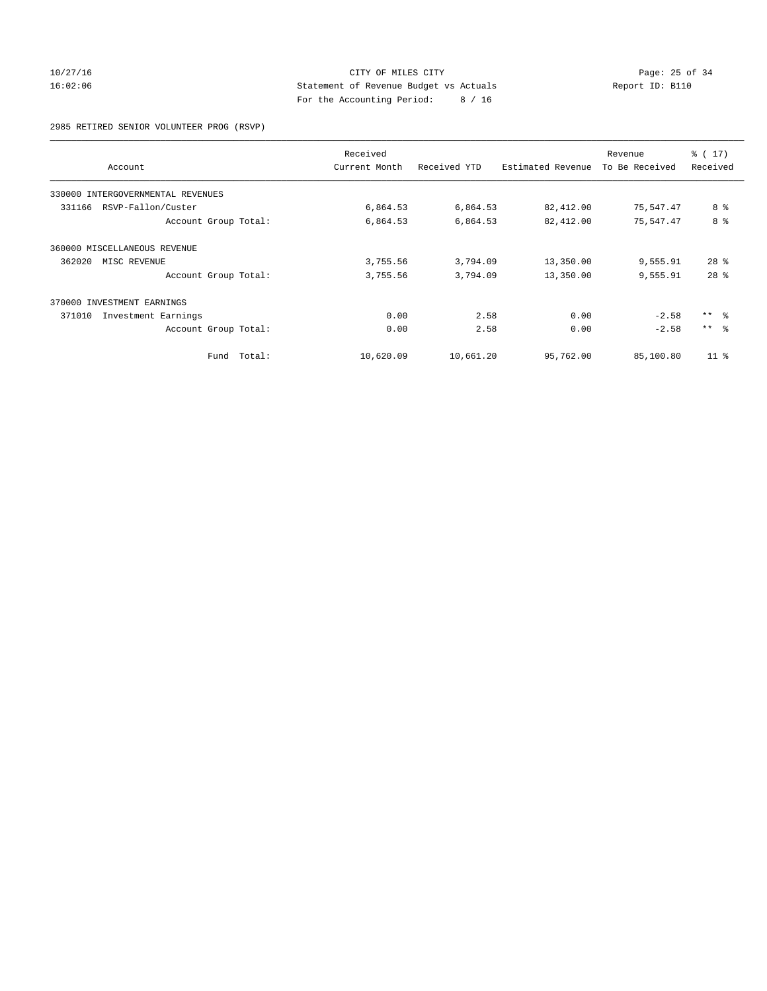# 10/27/16 Page: 25 of 34 16:02:06 Statement of Revenue Budget vs Actuals Report ID: B110 For the Accounting Period: 8 / 16

2985 RETIRED SENIOR VOLUNTEER PROG (RSVP)

|                                      | Received      |              |                   | Revenue        | $\frac{1}{2}$ (17) |
|--------------------------------------|---------------|--------------|-------------------|----------------|--------------------|
| Account                              | Current Month | Received YTD | Estimated Revenue | To Be Received | Received           |
| 330000<br>INTERGOVERNMENTAL REVENUES |               |              |                   |                |                    |
| RSVP-Fallon/Custer<br>331166         | 6,864.53      | 6,864.53     | 82,412.00         | 75,547.47      | 8 %                |
| Account Group Total:                 | 6,864.53      | 6,864.53     | 82,412.00         | 75,547.47      | 8 %                |
| 360000 MISCELLANEOUS REVENUE         |               |              |                   |                |                    |
| 362020<br>MISC REVENUE               | 3,755.56      | 3,794.09     | 13,350.00         | 9,555.91       | $28$ %             |
| Account Group Total:                 | 3,755.56      | 3,794.09     | 13,350.00         | 9,555.91       | 28 <sup>8</sup>    |
| 370000 INVESTMENT EARNINGS           |               |              |                   |                |                    |
| 371010<br>Investment Earnings        | 0.00          | 2.58         | 0.00              | $-2.58$        | $***$ $ -$         |
| Account Group Total:                 | 0.00          | 2.58         | 0.00              | $-2.58$        | $***$ $\approx$    |
| Total:<br>Fund                       | 10,620.09     | 10,661.20    | 95,762.00         | 85,100.80      | $11*$              |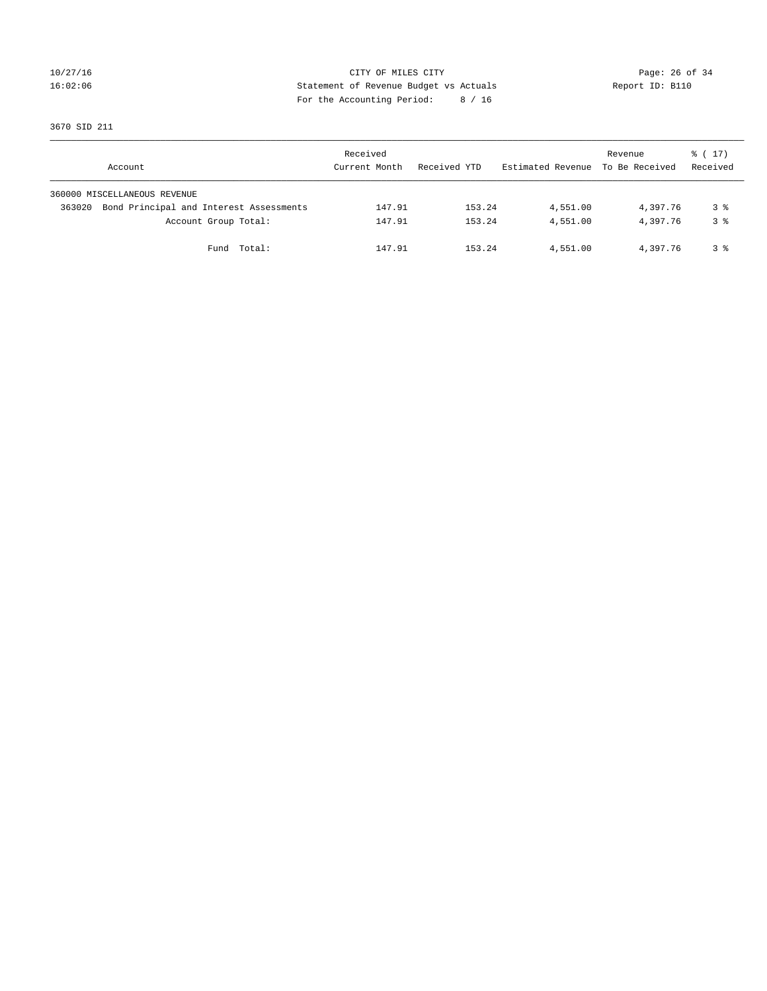# 10/27/16 Page: 26 of 34 16:02:06 Statement of Revenue Budget vs Actuals Report ID: B110 For the Accounting Period: 8 / 16

3670 SID 211

| Account                                           | Received<br>Current Month |        | Received YTD |        | Estimated Revenue To Be Received | Revenue  | $\frac{1}{6}$ ( 17)<br>Received |
|---------------------------------------------------|---------------------------|--------|--------------|--------|----------------------------------|----------|---------------------------------|
| 360000 MISCELLANEOUS REVENUE                      |                           |        |              |        |                                  |          |                                 |
| Bond Principal and Interest Assessments<br>363020 |                           | 147.91 |              | 153.24 | 4,551.00                         | 4,397.76 | 3 %                             |
| Account Group Total:                              |                           | 147.91 |              | 153.24 | 4,551.00                         | 4,397.76 | 3 <sup>8</sup>                  |
| Fund Total:                                       |                           | 147.91 |              | 153.24 | 4,551.00                         | 4,397.76 | 3 %                             |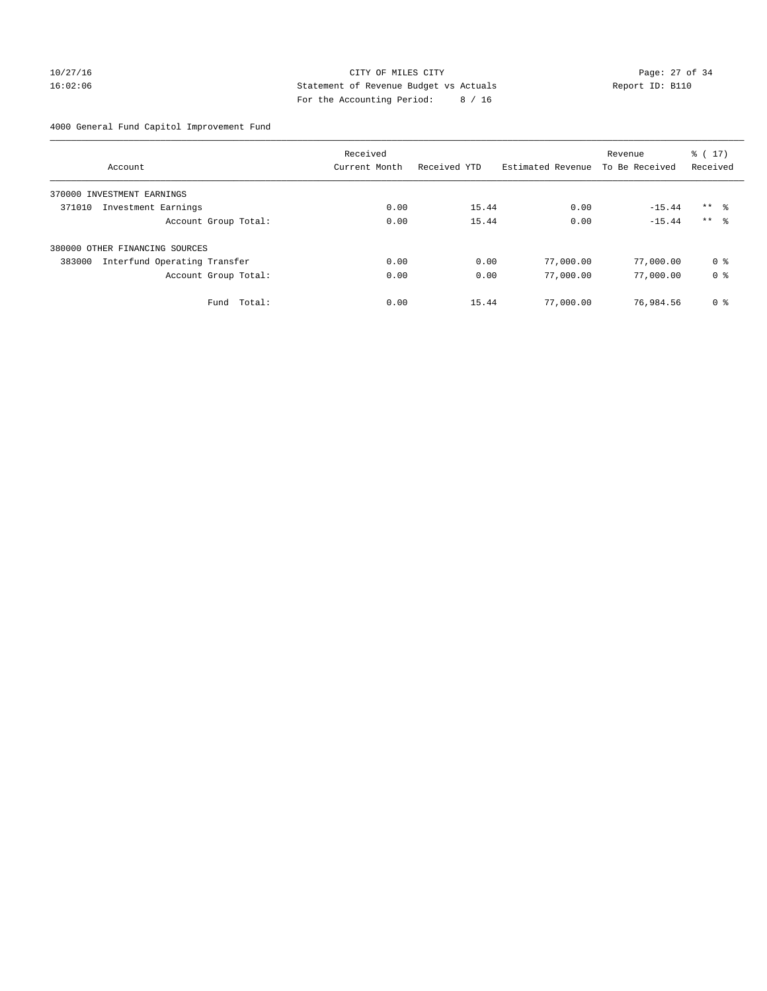# 10/27/16 Page: 27 of 34 16:02:06 Statement of Revenue Budget vs Actuals Report ID: B110 For the Accounting Period: 8 / 16

4000 General Fund Capitol Improvement Fund

|                                        | Received      |              |                   | Revenue        | $\frac{1}{6}$ ( 17 ) |
|----------------------------------------|---------------|--------------|-------------------|----------------|----------------------|
| Account                                | Current Month | Received YTD | Estimated Revenue | To Be Received | Received             |
| 370000 INVESTMENT EARNINGS             |               |              |                   |                |                      |
| 371010<br>Investment Earnings          | 0.00          | 15.44        | 0.00              | $-15.44$       | $***$ $\approx$      |
| Account Group Total:                   | 0.00          | 15.44        | 0.00              | $-15.44$       | $***$ $\frac{6}{5}$  |
| 380000 OTHER FINANCING SOURCES         |               |              |                   |                |                      |
| 383000<br>Interfund Operating Transfer | 0.00          | 0.00         | 77,000.00         | 77,000.00      | 0 <sup>8</sup>       |
| Account Group Total:                   | 0.00          | 0.00         | 77,000.00         | 77,000.00      | 0 <sup>8</sup>       |
| Total:<br>Fund                         | 0.00          | 15.44        | 77,000.00         | 76,984.56      | 0 <sup>8</sup>       |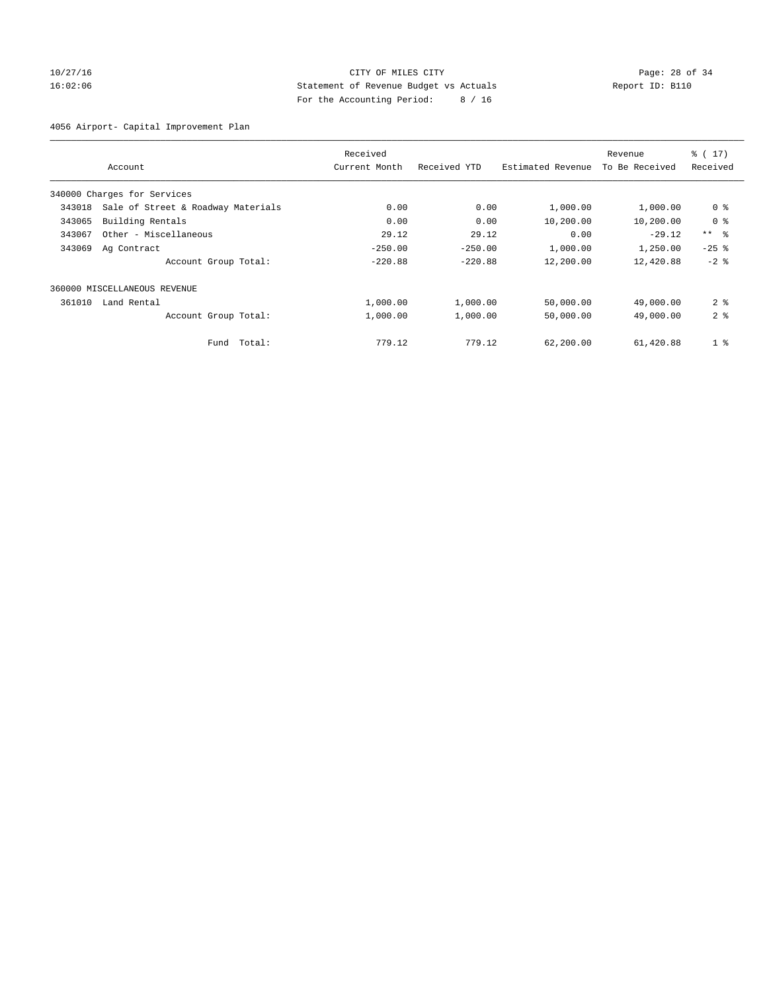## 10/27/16 Page: 28 of 34 16:02:06 Statement of Revenue Budget vs Actuals Report ID: B110 For the Accounting Period: 8 / 16

4056 Airport- Capital Improvement Plan

|        |                                    | Received      |              |                   | Revenue        | % (17)          |
|--------|------------------------------------|---------------|--------------|-------------------|----------------|-----------------|
|        | Account                            | Current Month | Received YTD | Estimated Revenue | To Be Received | Received        |
|        | 340000 Charges for Services        |               |              |                   |                |                 |
| 343018 | Sale of Street & Roadway Materials | 0.00          | 0.00         | 1,000.00          | 1,000.00       | 0 <sup>8</sup>  |
| 343065 | Building Rentals                   | 0.00          | 0.00         | 10,200.00         | 10,200.00      | 0 <sup>8</sup>  |
| 343067 | Other - Miscellaneous              | 29.12         | 29.12        | 0.00              | $-29.12$       | $***$ $\approx$ |
| 343069 | Ag Contract                        | $-250.00$     | $-250.00$    | 1,000.00          | 1,250.00       | $-25$ $%$       |
|        | Account Group Total:               | $-220.88$     | $-220.88$    | 12,200.00         | 12,420.88      | $-2$ %          |
|        | 360000 MISCELLANEOUS REVENUE       |               |              |                   |                |                 |
| 361010 | Land Rental                        | 1,000.00      | 1,000.00     | 50,000.00         | 49,000.00      | 2 <sup>8</sup>  |
|        | Account Group Total:               | 1,000.00      | 1,000.00     | 50,000.00         | 49,000.00      | 2 <sup>8</sup>  |
|        | Fund Total:                        | 779.12        | 779.12       | 62,200.00         | 61,420.88      | 1 <sup>8</sup>  |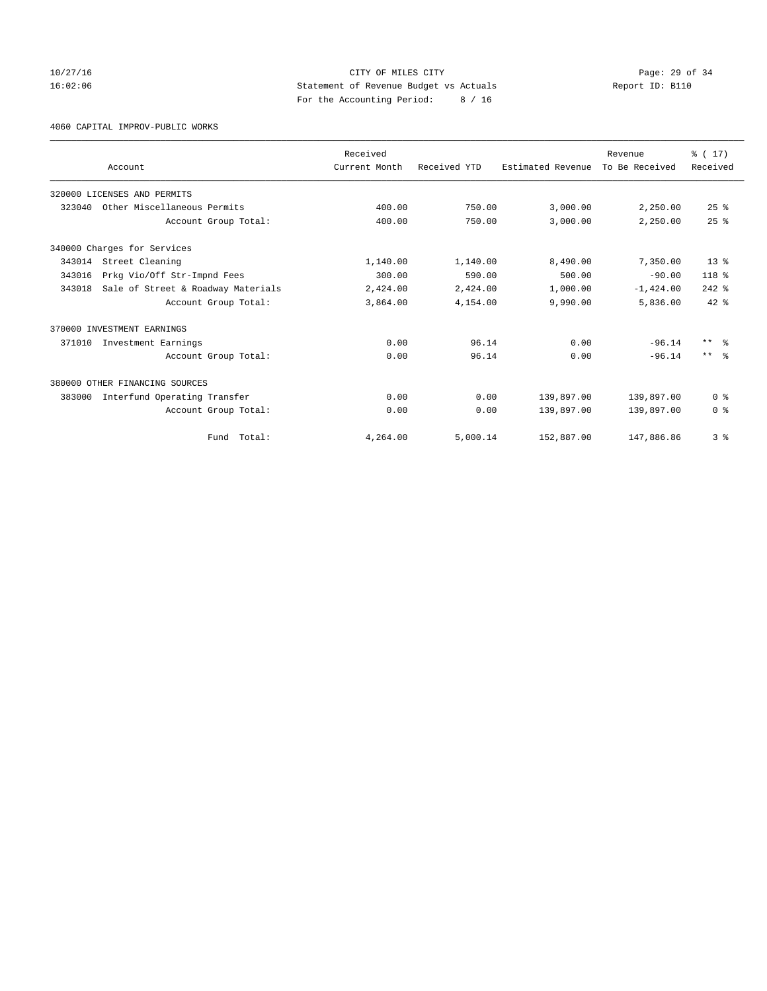## 10/27/16 Page: 29 of 34 16:02:06 Statement of Revenue Budget vs Actuals Report ID: B110 For the Accounting Period: 8 / 16

4060 CAPITAL IMPROV-PUBLIC WORKS

|        |                                    | Received      |              |                   | Revenue        | % (17)          |
|--------|------------------------------------|---------------|--------------|-------------------|----------------|-----------------|
|        | Account                            | Current Month | Received YTD | Estimated Revenue | To Be Received | Received        |
|        | 320000 LICENSES AND PERMITS        |               |              |                   |                |                 |
| 323040 | Other Miscellaneous Permits        | 400.00        | 750.00       | 3,000.00          | 2,250.00       | $25$ $%$        |
|        | Account Group Total:               | 400.00        | 750.00       | 3,000.00          | 2,250.00       | $25$ $%$        |
|        | 340000 Charges for Services        |               |              |                   |                |                 |
| 343014 | Street Cleaning                    | 1,140.00      | 1,140.00     | 8,490.00          | 7,350.00       | $13*$           |
| 343016 | Prkg Vio/Off Str-Impnd Fees        | 300.00        | 590.00       | 500.00            | $-90.00$       | $118*$          |
| 343018 | Sale of Street & Roadway Materials | 2,424.00      | 2,424.00     | 1,000.00          | $-1,424.00$    | $242$ $%$       |
|        | Account Group Total:               | 3,864.00      | 4,154.00     | 9,990.00          | 5,836.00       | $42*$           |
|        | 370000 INVESTMENT EARNINGS         |               |              |                   |                |                 |
| 371010 | Investment Earnings                | 0.00          | 96.14        | 0.00              | $-96.14$       | $***$ $\approx$ |
|        | Account Group Total:               | 0.00          | 96.14        | 0.00              | $-96.14$       | $***$ $\approx$ |
|        | 380000 OTHER FINANCING SOURCES     |               |              |                   |                |                 |
| 383000 | Interfund Operating Transfer       | 0.00          | 0.00         | 139,897.00        | 139,897.00     | 0 <sup>8</sup>  |
|        | Account Group Total:               | 0.00          | 0.00         | 139,897.00        | 139,897.00     | 0 <sup>8</sup>  |
|        | Total:<br>Fund                     | 4,264.00      | 5,000.14     | 152,887.00        | 147,886.86     | 3 <sup>8</sup>  |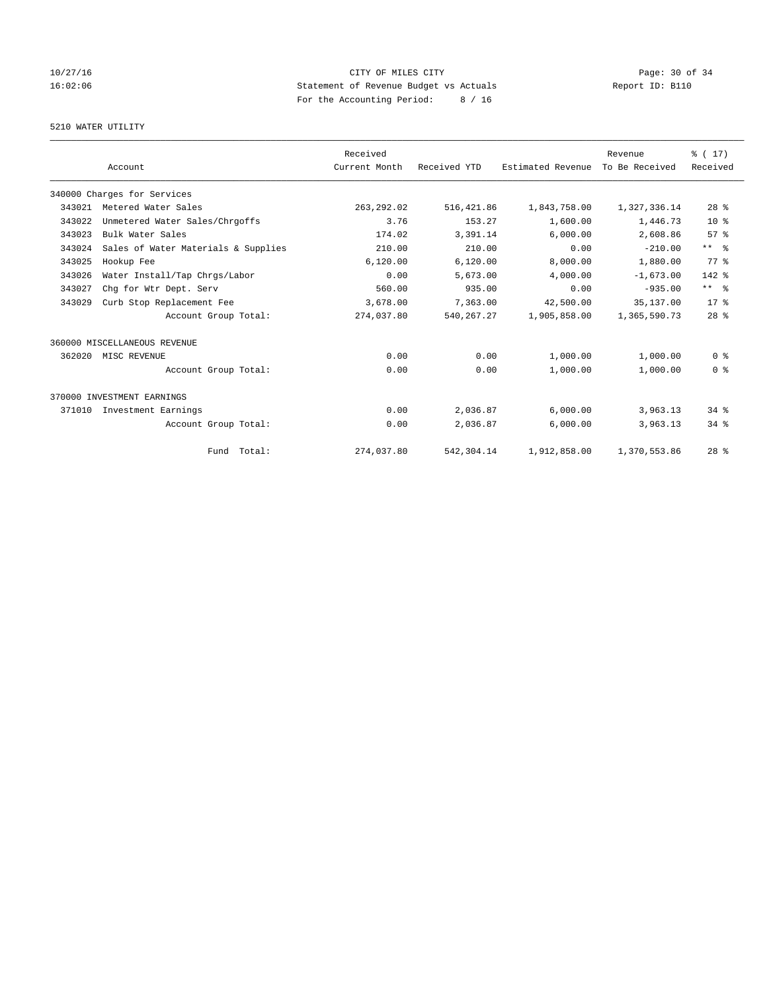## 10/27/16 Page: 30 of 34 16:02:06 Statement of Revenue Budget vs Actuals Report ID: B110 For the Accounting Period: 8 / 16

# 5210 WATER UTILITY

|        |                                     | Received      |              |                   | Revenue        | % (17)          |
|--------|-------------------------------------|---------------|--------------|-------------------|----------------|-----------------|
|        | Account                             | Current Month | Received YTD | Estimated Revenue | To Be Received | Received        |
|        | 340000 Charges for Services         |               |              |                   |                |                 |
| 343021 | Metered Water Sales                 | 263, 292.02   | 516, 421.86  | 1,843,758.00      | 1,327,336.14   | $28$ %          |
| 343022 | Unmetered Water Sales/Chrgoffs      | 3.76          | 153.27       | 1,600.00          | 1,446.73       | 10 <sup>8</sup> |
| 343023 | Bulk Water Sales                    | 174.02        | 3,391.14     | 6,000.00          | 2,608.86       | 57%             |
| 343024 | Sales of Water Materials & Supplies | 210.00        | 210.00       | 0.00              | $-210.00$      | $***$ $%$       |
| 343025 | Hookup Fee                          | 6, 120.00     | 6, 120.00    | 8,000.00          | 1,880.00       | 77.8            |
| 343026 | Water Install/Tap Chrgs/Labor       | 0.00          | 5,673.00     | 4,000.00          | $-1,673.00$    | 142 %           |
| 343027 | Chq for Wtr Dept. Serv              | 560.00        | 935.00       | 0.00              | $-935.00$      | $***$ $ -$      |
| 343029 | Curb Stop Replacement Fee           | 3,678.00      | 7,363.00     | 42,500.00         | 35, 137, 00    | $17*$           |
|        | Account Group Total:                | 274,037.80    | 540, 267.27  | 1,905,858.00      | 1,365,590.73   | 28 <sup>8</sup> |
|        | 360000 MISCELLANEOUS REVENUE        |               |              |                   |                |                 |
| 362020 | MISC REVENUE                        | 0.00          | 0.00         | 1,000.00          | 1,000.00       | 0 <sup>8</sup>  |
|        | Account Group Total:                | 0.00          | 0.00         | 1,000.00          | 1,000.00       | 0 <sup>8</sup>  |
|        | 370000 INVESTMENT EARNINGS          |               |              |                   |                |                 |
| 371010 | Investment Earnings                 | 0.00          | 2,036.87     | 6,000.00          | 3,963.13       | $34$ $%$        |
|        | Account Group Total:                | 0.00          | 2,036.87     | 6,000.00          | 3,963.13       | 34.8            |
|        | Fund Total:                         | 274,037.80    | 542,304.14   | 1,912,858.00      | 1,370,553.86   | $28$ %          |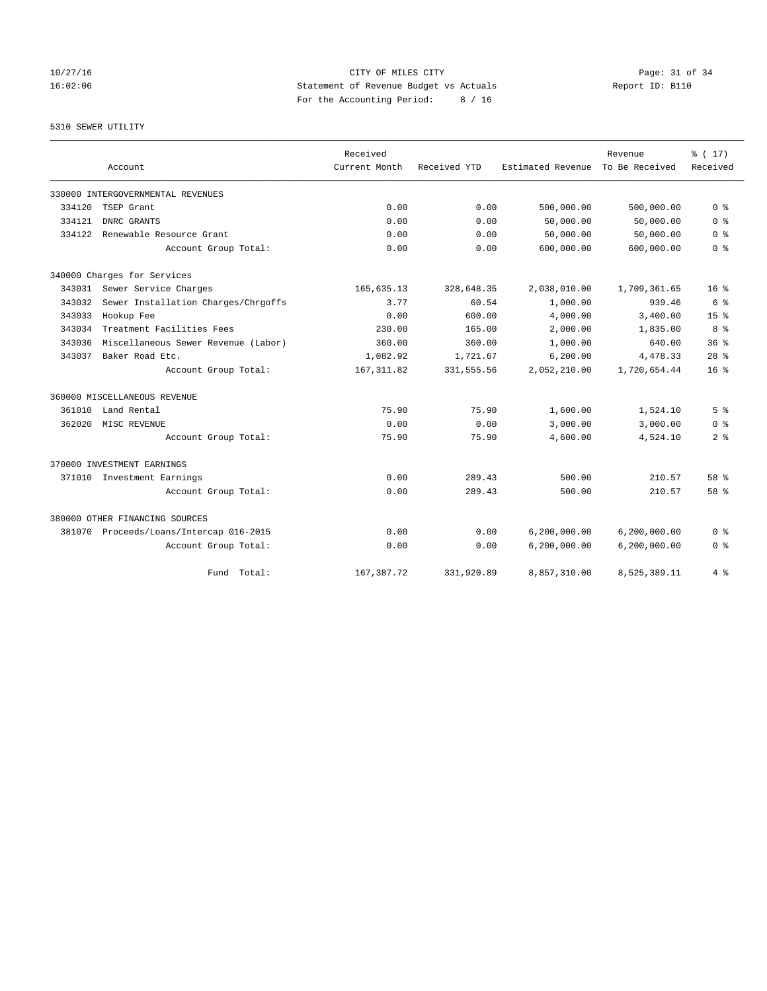10/27/16 Page: 31 of 34 16:02:06 Statement of Revenue Budget vs Actuals Report ID: B110 For the Accounting Period: 8 / 16

# 5310 SEWER UTILITY

|        |                                         | Received      |              |                   | Revenue        | % (17)          |
|--------|-----------------------------------------|---------------|--------------|-------------------|----------------|-----------------|
|        | Account                                 | Current Month | Received YTD | Estimated Revenue | To Be Received | Received        |
|        | 330000 INTERGOVERNMENTAL REVENUES       |               |              |                   |                |                 |
| 334120 | TSEP Grant                              | 0.00          | 0.00         | 500,000.00        | 500,000.00     | 0 <sup>8</sup>  |
| 334121 | DNRC GRANTS                             | 0.00          | 0.00         | 50,000.00         | 50,000.00      | 0 <sup>8</sup>  |
| 334122 | Renewable Resource Grant                | 0.00          | 0.00         | 50,000.00         | 50,000.00      | 0 <sup>8</sup>  |
|        | Account Group Total:                    | 0.00          | 0.00         | 600,000.00        | 600,000.00     | 0 <sup>8</sup>  |
|        | 340000 Charges for Services             |               |              |                   |                |                 |
| 343031 | Sewer Service Charges                   | 165,635.13    | 328,648.35   | 2,038,010.00      | 1,709,361.65   | $16*$           |
| 343032 | Sewer Installation Charges/Chrgoffs     | 3.77          | 60.54        | 1,000.00          | 939.46         | 6 %             |
| 343033 | Hookup Fee                              | 0.00          | 600.00       | 4,000.00          | 3,400.00       | $15*$           |
| 343034 | Treatment Facilities Fees               | 230.00        | 165.00       | 2,000.00          | 1,835.00       | 8 %             |
| 343036 | Miscellaneous Sewer Revenue (Labor)     | 360.00        | 360.00       | 1,000.00          | 640.00         | 36 <sup>8</sup> |
| 343037 | Baker Road Etc.                         | 1,082.92      | 1,721.67     | 6, 200.00         | 4,478.33       | 28 <sup>8</sup> |
|        | Account Group Total:                    | 167, 311.82   | 331, 555.56  | 2,052,210.00      | 1,720,654.44   | 16 <sup>8</sup> |
|        | 360000 MISCELLANEOUS REVENUE            |               |              |                   |                |                 |
| 361010 | Land Rental                             | 75.90         | 75.90        | 1,600.00          | 1,524.10       | 5 <sup>8</sup>  |
| 362020 | MISC REVENUE                            | 0.00          | 0.00         | 3,000.00          | 3,000.00       | 0 %             |
|        | Account Group Total:                    | 75.90         | 75.90        | 4,600.00          | 4,524.10       | 2 <sup>8</sup>  |
|        | 370000 INVESTMENT EARNINGS              |               |              |                   |                |                 |
| 371010 | Investment Earnings                     | 0.00          | 289.43       | 500.00            | 210.57         | 58 %            |
|        | Account Group Total:                    | 0.00          | 289.43       | 500.00            | 210.57         | 58 %            |
|        | 380000 OTHER FINANCING SOURCES          |               |              |                   |                |                 |
|        | 381070 Proceeds/Loans/Intercap 016-2015 | 0.00          | 0.00         | 6,200,000.00      | 6, 200, 000.00 | 0 <sup>8</sup>  |
|        | Account Group Total:                    | 0.00          | 0.00         | 6,200,000.00      | 6, 200, 000.00 | 0 <sup>8</sup>  |
|        | Total:<br>Fund                          | 167, 387. 72  | 331,920.89   | 8,857,310.00      | 8,525,389.11   | 4%              |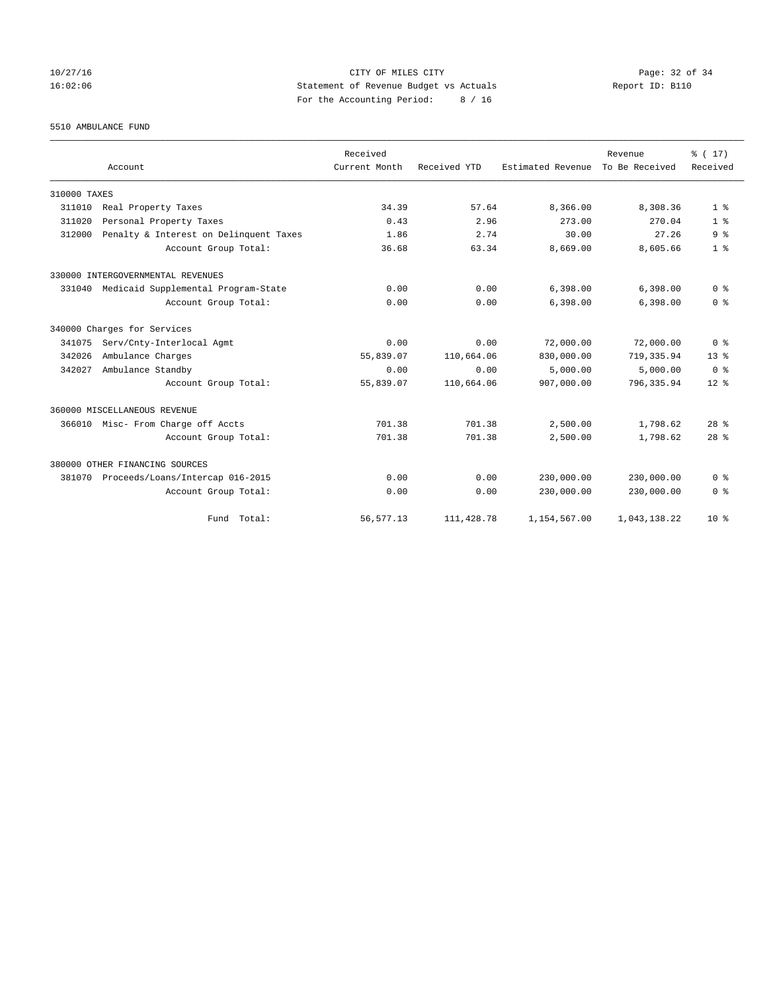## 10/27/16 Page: 32 of 34 16:02:06 Statement of Revenue Budget vs Actuals Report ID: B110 For the Accounting Period: 8 / 16

5510 AMBULANCE FUND

|              |                                        | Received      |              |                   | Revenue        | % (17)          |
|--------------|----------------------------------------|---------------|--------------|-------------------|----------------|-----------------|
|              | Account                                | Current Month | Received YTD | Estimated Revenue | To Be Received | Received        |
| 310000 TAXES |                                        |               |              |                   |                |                 |
| 311010       | Real Property Taxes                    | 34.39         | 57.64        | 8,366.00          | 8,308.36       | 1 <sup>8</sup>  |
| 311020       | Personal Property Taxes                | 0.43          | 2.96         | 273.00            | 270.04         | 1 <sup>8</sup>  |
| 312000       | Penalty & Interest on Delinquent Taxes | 1.86          | 2.74         | 30.00             | 27.26          | 9 <sup>8</sup>  |
|              | Account Group Total:                   | 36.68         | 63.34        | 8,669.00          | 8,605.66       | 1 <sup>8</sup>  |
|              | 330000 INTERGOVERNMENTAL REVENUES      |               |              |                   |                |                 |
| 331040       | Medicaid Supplemental Program-State    | 0.00          | 0.00         | 6,398.00          | 6,398.00       | 0 <sup>8</sup>  |
|              | Account Group Total:                   | 0.00          | 0.00         | 6,398.00          | 6,398.00       | 0 <sup>8</sup>  |
|              | 340000 Charges for Services            |               |              |                   |                |                 |
| 341075       | Serv/Cnty-Interlocal Agmt              | 0.00          | 0.00         | 72,000.00         | 72,000.00      | 0 <sup>8</sup>  |
| 342026       | Ambulance Charges                      | 55,839.07     | 110,664.06   | 830,000.00        | 719, 335.94    | 13 <sup>8</sup> |
| 342027       | Ambulance Standby                      | 0.00          | 0.00         | 5.000.00          | 5.000.00       | 0 <sup>8</sup>  |
|              | Account Group Total:                   | 55,839.07     | 110,664.06   | 907,000.00        | 796, 335.94    | 12 <sup>8</sup> |
|              | 360000 MISCELLANEOUS REVENUE           |               |              |                   |                |                 |
|              | 366010 Misc- From Charge off Accts     | 701.38        | 701.38       | 2,500.00          | 1,798.62       | 28 <sup>8</sup> |
|              | Account Group Total:                   | 701.38        | 701.38       | 2,500.00          | 1,798.62       | 28 <sup>8</sup> |
|              | 380000 OTHER FINANCING SOURCES         |               |              |                   |                |                 |
| 381070       | Proceeds/Loans/Intercap 016-2015       | 0.00          | 0.00         | 230,000.00        | 230,000.00     | 0 <sup>8</sup>  |
|              | Account Group Total:                   | 0.00          | 0.00         | 230,000.00        | 230,000.00     | 0 <sup>8</sup>  |
|              | Fund Total:                            | 56, 577.13    | 111,428.78   | 1,154,567.00      | 1,043,138.22   | $10*$           |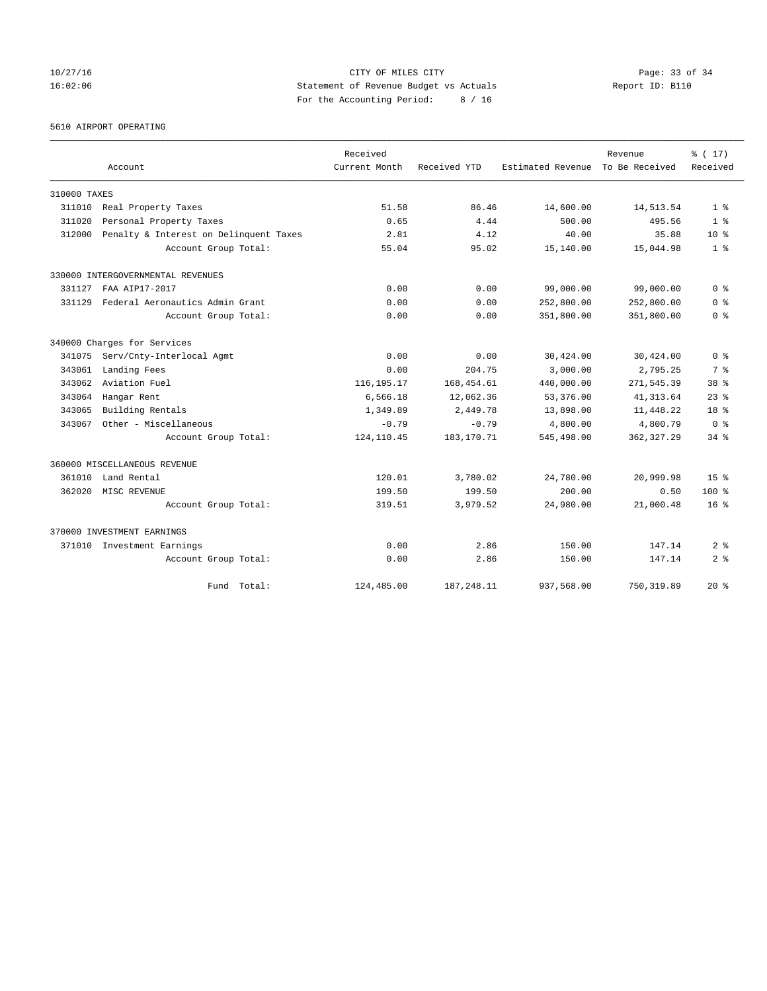## 10/27/16 Page: 33 of 34 16:02:06 Statement of Revenue Budget vs Actuals Report ID: B110 For the Accounting Period: 8 / 16

5610 AIRPORT OPERATING

|              |                                        | Received      |              |                   | Revenue        | % (17)          |
|--------------|----------------------------------------|---------------|--------------|-------------------|----------------|-----------------|
|              | Account                                | Current Month | Received YTD | Estimated Revenue | To Be Received | Received        |
| 310000 TAXES |                                        |               |              |                   |                |                 |
| 311010       | Real Property Taxes                    | 51.58         | 86.46        | 14,600.00         | 14,513.54      | 1 <sup>8</sup>  |
| 311020       | Personal Property Taxes                | 0.65          | 4.44         | 500.00            | 495.56         | 1 <sup>8</sup>  |
| 312000       | Penalty & Interest on Delinquent Taxes | 2.81          | 4.12         | 40.00             | 35.88          | $10*$           |
|              | Account Group Total:                   | 55.04         | 95.02        | 15,140.00         | 15,044.98      | 1 <sup>8</sup>  |
|              | 330000 INTERGOVERNMENTAL REVENUES      |               |              |                   |                |                 |
| 331127       | FAA ATP17-2017                         | 0.00          | 0.00         | 99,000.00         | 99,000.00      | 0 <sup>8</sup>  |
| 331129       | Federal Aeronautics Admin Grant        | 0.00          | 0.00         | 252,800.00        | 252,800.00     | 0 <sup>8</sup>  |
|              | Account Group Total:                   | 0.00          | 0.00         | 351,800.00        | 351,800.00     | 0 <sup>8</sup>  |
|              | 340000 Charges for Services            |               |              |                   |                |                 |
| 341075       | Serv/Cnty-Interlocal Agmt              | 0.00          | 0.00         | 30,424.00         | 30,424.00      | 0 <sup>8</sup>  |
| 343061       | Landing Fees                           | 0.00          | 204.75       | 3,000.00          | 2,795.25       | 7 %             |
| 343062       | Aviation Fuel                          | 116, 195. 17  | 168, 454.61  | 440,000.00        | 271,545.39     | 38 <sup>8</sup> |
| 343064       | Hangar Rent                            | 6,566.18      | 12,062.36    | 53,376.00         | 41, 313.64     | $23$ $%$        |
| 343065       | Building Rentals                       | 1,349.89      | 2,449.78     | 13,898.00         | 11,448.22      | $18*$           |
| 343067       | Other - Miscellaneous                  | $-0.79$       | $-0.79$      | 4,800.00          | 4,800.79       | 0 <sup>8</sup>  |
|              | Account Group Total:                   | 124, 110.45   | 183, 170. 71 | 545,498.00        | 362, 327.29    | $34$ $%$        |
|              | 360000 MISCELLANEOUS REVENUE           |               |              |                   |                |                 |
| 361010       | Land Rental                            | 120.01        | 3,780.02     | 24,780.00         | 20,999.98      | 15 <sup>8</sup> |
| 362020       | MISC REVENUE                           | 199.50        | 199.50       | 200.00            | 0.50           | $100*$          |
|              | Account Group Total:                   | 319.51        | 3,979.52     | 24,980.00         | 21,000.48      | $16*$           |
|              | 370000 INVESTMENT EARNINGS             |               |              |                   |                |                 |
|              | 371010 Investment Earnings             | 0.00          | 2.86         | 150.00            | 147.14         | 2 <sup>8</sup>  |
|              | Account Group Total:                   | 0.00          | 2.86         | 150.00            | 147.14         | 2 <sup>8</sup>  |
|              | Fund Total:                            | 124,485.00    | 187, 248.11  | 937,568.00        | 750, 319.89    | $20*$           |